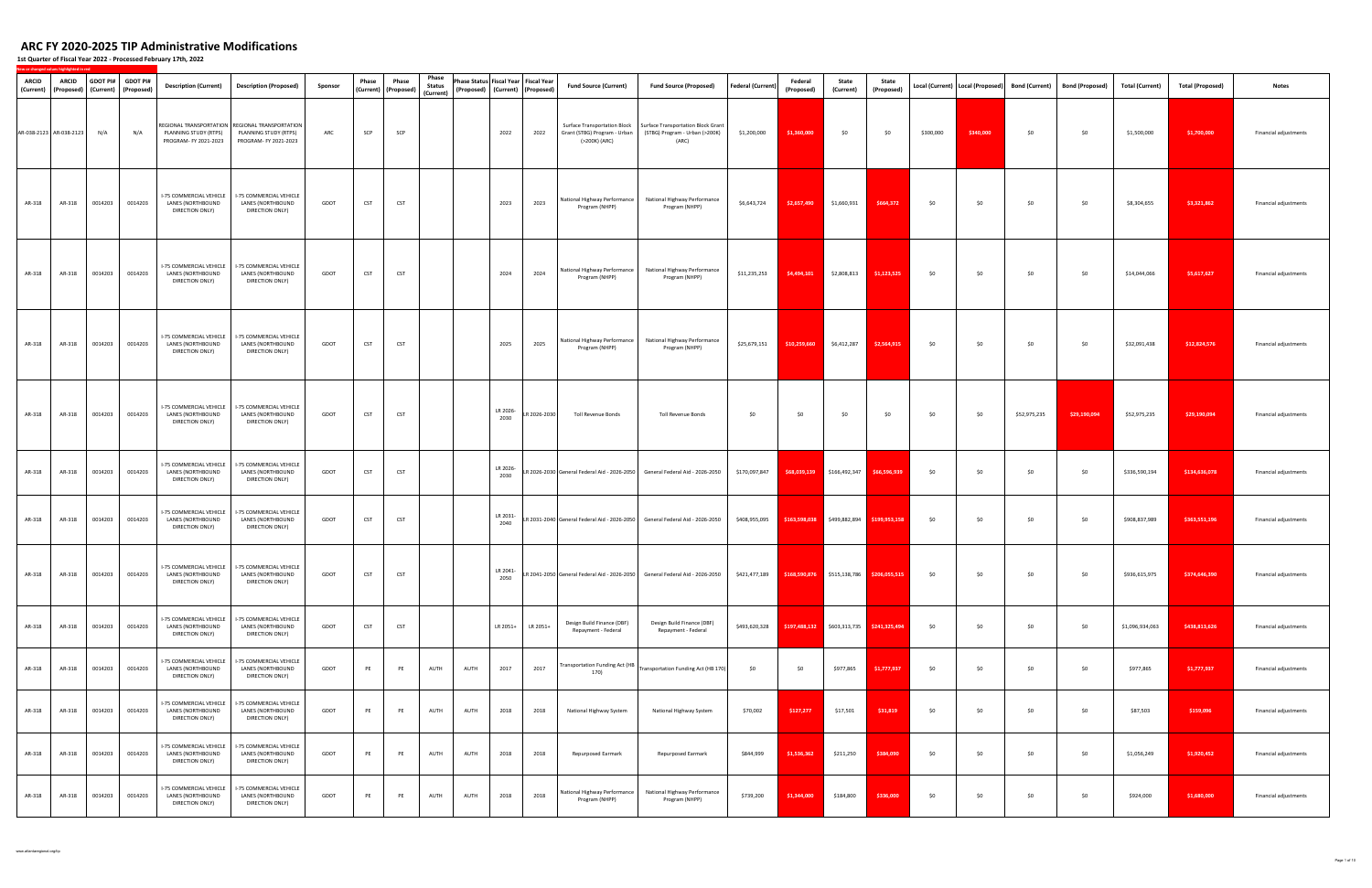| ARCID<br>(Current)      | ARCID<br>(Proposed) (Current) |         | GDOT PI# GDOT PI#<br>(Proposed) | <b>Description (Current)</b>                                           | <b>Description (Proposed)</b>                                                                       | Sponsor | Phase      | Phase<br>(Current) (Proposed) | Phase<br><b>Status</b><br>(Current) |      | Phase Status Fiscal Year Fiscal Year<br>(Proposed) (Current) (Proposed) |              | <b>Fund Source (Current)</b>                      | <b>Fund Source (Proposed)</b>                                                                                                                   | <b>Federal (Current)</b> | Federal<br>(Proposed)                                   | State<br>(Current) | State<br>(Proposed)         |           |           | Local (Current)   Local (Proposed)   Bond (Current) | Bond (Proposed) | Total (Current) | <b>Total (Proposed)</b> | <b>Notes</b>          |
|-------------------------|-------------------------------|---------|---------------------------------|------------------------------------------------------------------------|-----------------------------------------------------------------------------------------------------|---------|------------|-------------------------------|-------------------------------------|------|-------------------------------------------------------------------------|--------------|---------------------------------------------------|-------------------------------------------------------------------------------------------------------------------------------------------------|--------------------------|---------------------------------------------------------|--------------------|-----------------------------|-----------|-----------|-----------------------------------------------------|-----------------|-----------------|-------------------------|-----------------------|
| AR-038-2123 AR-038-2123 |                               | N/A     | N/A                             | PLANNING STUDY (RTPS)<br>PROGRAM- FY 2021-2023                         | REGIONAL TRANSPORTATION   REGIONAL TRANSPORTATION<br>PLANNING STUDY (RTPS)<br>PROGRAM- FY 2021-2023 | ARC     | SCP        | SCP                           |                                     |      | 2022                                                                    | 2022         | Grant (STBG) Program - Urban<br>(>200K) (ARC)     | Surface Transportation Block   Surface Transportation Block Grant<br>(STBG) Program - Urban (>200K)<br>(ARC)                                    | \$1,200,000              | \$1,360,000                                             | \$0                | \$0                         | \$300,000 | \$340,000 | \$0                                                 | \$0             | \$1,500,000     | \$1,700,000             | Financial adjustments |
| AR-318                  | AR-318                        | 0014203 | 0014203                         | <b>I-75 COMMERCIAL VEHICLE</b><br>LANES (NORTHBOUND<br>DIRECTION ONLY) | <b>I-75 COMMERCIAL VEHICLE</b><br>LANES (NORTHBOUND<br>DIRECTION ONLY)                              | GDOT    | <b>CST</b> | <b>CST</b>                    |                                     |      | 2023                                                                    | 2023         | National Highway Performance<br>Program (NHPP)    | National Highway Performance<br>Program (NHPP)                                                                                                  | \$6,643,724              | \$2,657,490                                             | \$1,660,931        | \$664,372                   | \$0       | \$0       | \$0                                                 | \$0             | \$8,304,655     | \$3,321,862             | Financial adjustments |
| AR-318                  | AR-318                        | 0014203 | 0014203                         | I-75 COMMERCIAL VEHICLE<br>LANES (NORTHBOUND<br>DIRECTION ONLY)        | <b>I-75 COMMERCIAL VEHICLE</b><br>LANES (NORTHBOUND<br>DIRECTION ONLY)                              | GDOT    | <b>CST</b> | CST                           |                                     |      | 2024                                                                    | 2024         | National Highway Performance<br>Program (NHPP)    | National Highway Performance<br>Program (NHPP)                                                                                                  | \$11,235,253             | \$4,494,101                                             | \$2,808,813        | \$1,123,525                 | \$0       | \$0       | \$0                                                 | \$0             | \$14,044,066    | \$5,617,627             | Financial adjustments |
| AR-318                  | AR-318                        | 0014203 | 0014203                         | I-75 COMMERCIAL VEHICLE<br>LANES (NORTHBOUND<br>DIRECTION ONLY)        | I-75 COMMERCIAL VEHICLE<br>LANES (NORTHBOUND<br>DIRECTION ONLY)                                     | GDOT    | <b>CST</b> | CST                           |                                     |      | 2025                                                                    | 2025         | National Highway Performance<br>Program (NHPP)    | National Highway Performance<br>Program (NHPP)                                                                                                  | \$25,679,151             | \$10,259,660                                            | \$6,412,287        | \$2,564,915                 | \$0       | \$0       | \$0                                                 | \$0             | \$32,091,438    | \$12,824,576            | Financial adjustments |
| AR-318                  | AR-318                        | 0014203 | 0014203                         | I-75 COMMERCIAL VEHICLE<br>LANES (NORTHBOUND<br>DIRECTION ONLY)        | <b>I-75 COMMERCIAL VEHICLE</b><br>LANES (NORTHBOUND<br>DIRECTION ONLY)                              | GDOT    | <b>CST</b> | <b>CST</b>                    |                                     |      | LR 2026-<br>2030                                                        | LR 2026-2030 | Toll Revenue Bonds                                | Toll Revenue Bonds                                                                                                                              | \$0                      | \$0                                                     | \$0                | \$0                         | \$0       | \$0       | \$52,975,235                                        | \$29,190,094    | \$52,975,235    | \$29,190,094            | Financial adjustments |
| AR-318                  | AR-318                        | 0014203 | 0014203                         | I-75 COMMERCIAL VEHICLE<br>LANES (NORTHBOUND<br>DIRECTION ONLY)        | I-75 COMMERCIAL VEHICLE<br>LANES (NORTHBOUND<br>DIRECTION ONLY)                                     | GDOT    | <b>CST</b> | CST                           |                                     |      | LR 2026-<br>2030                                                        |              |                                                   | LR 2026-2030 General Federal Aid - 2026-2050 General Federal Aid - 2026-2050                                                                    | \$170,097,847            | \$68,039,139                                            | \$166,492,347      | \$66,596,939                | \$0       | \$0       | \$0                                                 | \$0             | \$336,590,194   | \$134,636,078           | Financial adjustments |
| AR-318                  | AR-318                        | 0014203 | 0014203                         | I-75 COMMERCIAL VEHICLE<br>LANES (NORTHBOUND<br>DIRECTION ONLY)        | I-75 COMMERCIAL VEHICLE<br>LANES (NORTHBOUND<br>DIRECTION ONLY)                                     | GDOT    | <b>CST</b> | CST                           |                                     |      | LR 2031-<br>2040                                                        |              |                                                   | LR 2031-2040 General Federal Aid - 2026-2050 General Federal Aid - 2026-2050                                                                    |                          | \$408,955,095 \$163,598,038 \$499,882,894 \$199,953,158 |                    |                             | \$0       | \$0       | \$0                                                 | \$0             | \$908,837,989   | \$363,551,196           | Financial adjustments |
| AR-318                  | AR-318                        | 0014203 | 0014203                         | LANES (NORTHBOUND<br>DIRECTION ONLY)                                   | I-75 COMMERCIAL VEHICLE   I-75 COMMERCIAL VEHICLE<br>LANES (NORTHBOUND<br>DIRECTION ONLY)           | GDOT    | CST        | <b>CST</b>                    |                                     |      | LR 2041-<br>2050                                                        |              |                                                   | LR 2041-2050  General Federal Aid - 2026-2050   General Federal Aid - 2026-2050   \$421,477,189   \$168,590,876   \$515,138,786   \$206,055,515 |                          |                                                         |                    |                             | \$0       | \$0       | \$0                                                 | \$0             | \$936,615,975   | \$374,646,390           | Financial adjustments |
| AR-318                  | AR-318                        | 0014203 | 0014203                         | I-75 COMMERCIAL VEHICLE<br>LANES (NORTHBOUND<br>DIRECTION ONLY)        | <b>I-75 COMMERCIAL VEHICLE</b><br>LANES (NORTHBOUND<br>DIRECTION ONLY)                              | GDOT    | CST        | <b>CST</b>                    |                                     |      | LR 2051+                                                                | LR 2051+     | Design Build Finance (DBF)<br>Repayment - Federal | Design Build Finance (DBF)<br>Repayment - Federal                                                                                               | \$493,620,328            | \$197,488,132                                           |                    | \$603,313,735 \$241,325,494 | \$0       | \$0       | \$0                                                 | \$0             | \$1,096,934,063 | \$438,813,626           | Financial adjustments |
| AR-318                  | AR-318                        | 0014203 | 0014203                         | I-75 COMMERCIAL VEHICLE<br>LANES (NORTHBOUND<br>DIRECTION ONLY)        | I-75 COMMERCIAL VEHICLE<br>LANES (NORTHBOUND<br>DIRECTION ONLY)                                     | GDOT    | PE         | PE                            | AUTH                                | AUTH | 2017                                                                    | 2017         | 170)                                              | Transportation Funding Act (HB Transportation Funding Act (HB 170)                                                                              | \$0                      | \$0                                                     | \$977,865          | \$1,777,937                 | \$0       | \$0       | \$0                                                 | \$0             | \$977,865       | \$1,777,937             | Financial adjustments |
| AR-318                  | AR-318                        | 0014203 | 0014203                         | I-75 COMMERCIAL VEHICLE<br>LANES (NORTHBOUND<br>DIRECTION ONLY)        | I-75 COMMERCIAL VEHICLE<br>LANES (NORTHBOUND<br>DIRECTION ONLY)                                     | GDOT    | PE         | PE                            | AUTH                                | AUTH | 2018                                                                    | 2018         | National Highway System                           | National Highway System                                                                                                                         | \$70,002                 | \$127,277                                               | \$17,501           | \$31,819                    | \$0       | \$0       | \$0                                                 | \$0             | \$87,503        | \$159,096               | Financial adjustments |
| AR-318                  | AR-318                        | 0014203 | 0014203                         | I-75 COMMERCIAL VEHICLE<br>LANES (NORTHBOUND<br>DIRECTION ONLY)        | I-75 COMMERCIAL VEHICLE<br>LANES (NORTHBOUND<br>DIRECTION ONLY)                                     | GDOT    | PE         | PE                            | AUTH                                | AUTH | 2018                                                                    | 2018         | Repurposed Earmark                                | Repurposed Earmark                                                                                                                              | \$844,999                | \$1,536,362                                             | \$211,250          | \$384,090                   | \$0       | \$0       | \$0                                                 | \$0             | \$1,056,249     | \$1,920,452             | Financial adjustments |
| AR-318                  | AR-318                        | 0014203 | 0014203                         | I-75 COMMERCIAL VEHICLE<br>LANES (NORTHBOUND<br>DIRECTION ONLY)        | I-75 COMMERCIAL VEHICLE<br>LANES (NORTHBOUND<br>DIRECTION ONLY)                                     | GDOT    | PE         | PE                            | AUTH                                | AUTH | 2018                                                                    | 2018         | National Highway Performance  <br>Program (NHPP)  | National Highway Performance<br>Program (NHPP)                                                                                                  | \$739,200                | \$1,344,000                                             | \$184,800          | \$336,000                   | \$0       | \$0       | \$0                                                 | \$0             | \$924,000       | \$1,680,000             | Financial adjustments |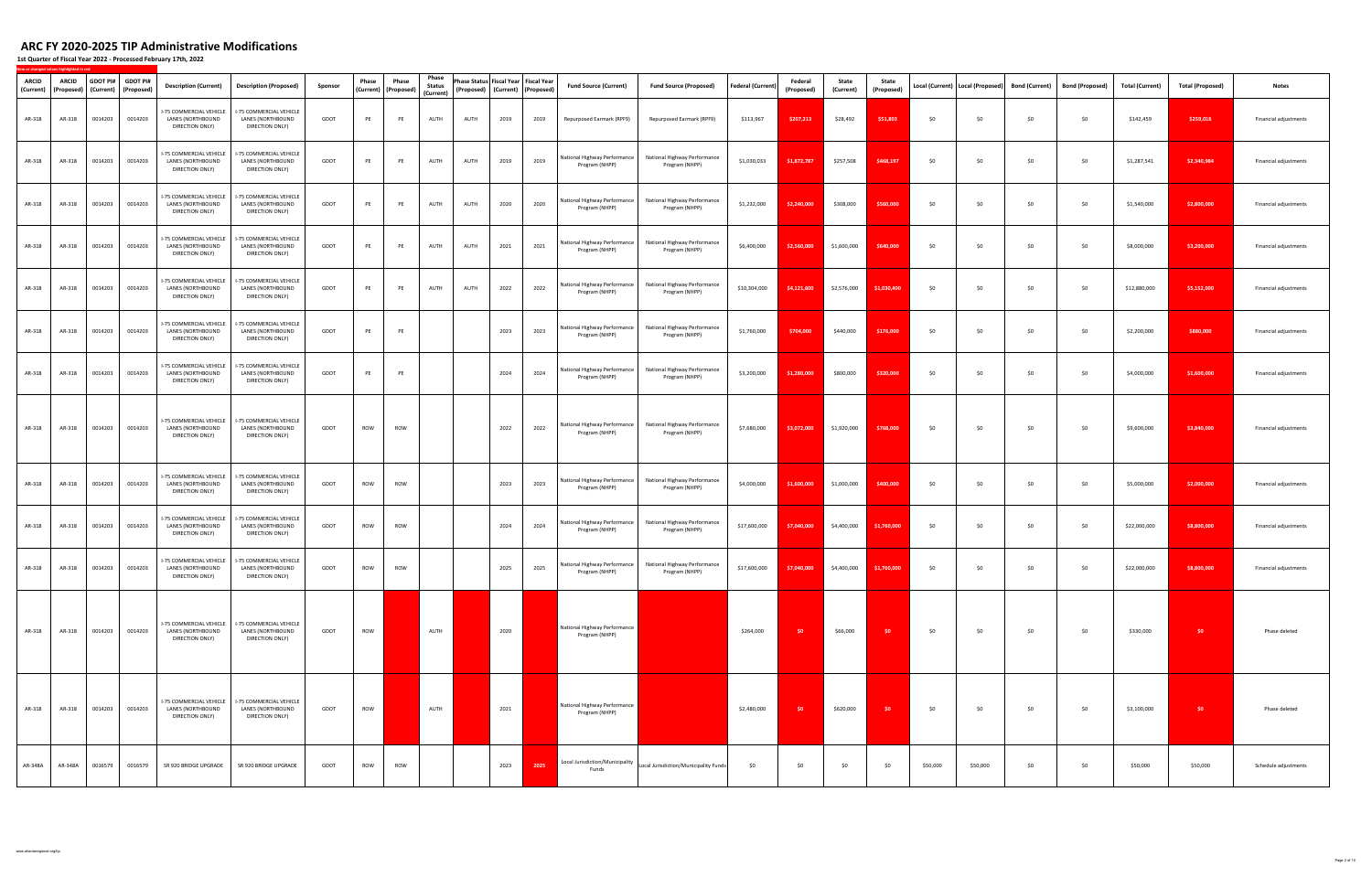**1st Quarter of Fiscal Year 2022 ‐ Processed February 17th, 2022**

| ARCID<br>(Current) | ARCID<br>(Proposed) | GDOT PI#<br>(Current) | <b>GDOT PI#</b><br>(Proposed) | <b>Description (Current)</b>                                           | <b>Description (Proposed)</b>                                                             | Sponsor | Phase | Phase<br>(Current) (Proposed) | Phase<br><b>Status</b><br>(Current) |      | Phase Status Fiscal Year Fiscal Year<br>(Proposed) (Current) (Proposed) |      | <b>Fund Source (Current)</b>                   | <b>Fund Source (Proposed)</b>                                               | <b>Federal (Current)</b> | Federal<br>(Proposed | State<br>(Current)                     | State<br>(Proposed) | Local (Current)   Local (Proposed) |          | <b>Bond (Current)</b> | <b>Bond (Proposed)</b> | <b>Total (Current)</b> | <b>Total (Proposed)</b> | <b>Notes</b>          |
|--------------------|---------------------|-----------------------|-------------------------------|------------------------------------------------------------------------|-------------------------------------------------------------------------------------------|---------|-------|-------------------------------|-------------------------------------|------|-------------------------------------------------------------------------|------|------------------------------------------------|-----------------------------------------------------------------------------|--------------------------|----------------------|----------------------------------------|---------------------|------------------------------------|----------|-----------------------|------------------------|------------------------|-------------------------|-----------------------|
| AR-318             | AR-318              | 0014203               | 0014203                       | I-75 COMMERCIAL VEHICLE<br>LANES (NORTHBOUND<br>DIRECTION ONLY)        | I-75 COMMERCIAL VEHICLE<br>LANES (NORTHBOUND<br>DIRECTION ONLY)                           | GDOT    | PE    | PE                            | AUTH                                | AUTH | 2019                                                                    | 2019 | Repurposed Earmark (RPF9)                      | Repurposed Earmark (RPF9)                                                   | \$113,967                | \$207,213            | \$28,492                               | \$51,803            | \$0                                | \$0      | \$0                   | \$0                    | \$142,459              | \$259,016               | Financial adjustments |
| AR-318             | AR-318              | 0014203               | 0014203                       | I-75 COMMERCIAL VEHICLE<br>LANES (NORTHBOUND<br>DIRECTION ONLY)        | I-75 COMMERCIAL VEHICLE<br>LANES (NORTHBOUND<br>DIRECTION ONLY)                           | GDOT    | PE    | PE                            | AUTH                                | AUTH | 2019                                                                    | 2019 | National Highway Performance<br>Program (NHPP) | National Highway Performance<br>Program (NHPP)                              | \$1,030,033              | \$1,872,787          | \$257,508                              | \$468,197           | \$0                                | \$0      | \$0                   | \$0                    | \$1,287,541            | \$2,340,984             | Financial adjustments |
| AR-318             | AR-318              | 0014203               | 0014203                       | -75 COMMERCIAL VEHICLE<br>LANES (NORTHBOUND<br>DIRECTION ONLY)         | I-75 COMMERCIAL VEHICLE<br>LANES (NORTHBOUND<br>DIRECTION ONLY)                           | GDOT    | PE    | PE                            | AUTH                                | AUTH | 2020                                                                    | 2020 | National Highway Performance<br>Program (NHPP) | National Highway Performance<br>Program (NHPP)                              | \$1,232,000              | \$2,240,000          | \$308,000                              | \$560,000           | \$0                                | \$0      | \$0                   | \$0                    | \$1,540,000            | \$2,800,000             | Financial adjustments |
| AR-318             | AR-318              | 0014203               | 0014203                       | I-75 COMMERCIAL VEHICLE<br>LANES (NORTHBOUND<br>DIRECTION ONLY)        | I-75 COMMERCIAL VEHICLE<br>LANES (NORTHBOUND<br>DIRECTION ONLY)                           | GDOT    | PE    | PE                            | AUTH                                | AUTH | 2021                                                                    | 2021 | National Highway Performance<br>Program (NHPP) | National Highway Performance<br>Program (NHPP)                              | \$6,400,000              | \$2,560,000          | \$1,600,000                            | \$640,000           | \$0                                | \$0      | \$0                   | \$0                    | \$8,000,000            | \$3,200,000             | Financial adjustments |
| AR-318             | AR-318              | 0014203               | 0014203                       | 75 COMMERCIAL VEHICLE<br>LANES (NORTHBOUND<br>DIRECTION ONLY)          | I-75 COMMERCIAL VEHICLE<br>LANES (NORTHBOUND<br>DIRECTION ONLY)                           | GDOT    | PE    | PE                            | AUTH                                | AUTH | 2022                                                                    | 2022 | National Highway Performance<br>Program (NHPP) | National Highway Performance<br>Program (NHPP)                              | \$10,304,000             | \$4,121,600          | \$2,576,000                            | \$1,030,400         | \$0                                | \$0      | \$0                   | \$0                    | \$12,880,000           | \$5,152,000             | Financial adjustments |
| AR-318             | AR-318              | 0014203               | 0014203                       | I-75 COMMERCIAL VEHICLE<br>LANES (NORTHBOUND<br>DIRECTION ONLY)        | I-75 COMMERCIAL VEHICLE<br>LANES (NORTHBOUND<br>DIRECTION ONLY)                           | GDOT    | PE    | PE                            |                                     |      | 2023                                                                    | 2023 | National Highway Performance<br>Program (NHPP) | National Highway Performance<br>Program (NHPP)                              | \$1,760,000              | \$704,000            | \$440,000                              | \$176,000           | \$0                                | \$0      | \$0                   | \$0                    | \$2,200,000            | \$880,000               | Financial adjustments |
| AR-318             | AR-318              | 0014203               | 0014203                       | I-75 COMMERCIAL VEHICLE<br>LANES (NORTHBOUND<br>DIRECTION ONLY)        | I-75 COMMERCIAL VEHICLE<br>LANES (NORTHBOUND<br>DIRECTION ONLY)                           | GDOT    | PE    | PE                            |                                     |      | 2024                                                                    | 2024 | National Highway Performance<br>Program (NHPP) | National Highway Performance<br>Program (NHPP)                              | \$3,200,000              | \$1,280,000          | \$800,000                              | \$320,000           | \$0                                | \$0      | \$0                   | \$0                    | \$4,000,000            | \$1,600,000             | Financial adjustments |
| AR-318             | AR-318              | 0014203               | 0014203                       | I-75 COMMERCIAL VEHICLE<br>LANES (NORTHBOUND<br>DIRECTION ONLY)        | I-75 COMMERCIAL VEHICLE<br>LANES (NORTHBOUND<br>DIRECTION ONLY)                           | GDOT    | ROW   | ROW                           |                                     |      | 2022                                                                    | 2022 | National Highway Performance<br>Program (NHPP) | National Highway Performance<br>Program (NHPP)                              | \$7,680,000              | \$3,072,000          | \$1,920,000                            | \$768,000           | \$0                                | \$0      | \$0                   | \$0                    | \$9,600,000            | \$3,840,000             | Financial adjustments |
| AR-318             | AR-318              | 0014203               | 0014203                       | I-75 COMMERCIAL VEHICLE<br>LANES (NORTHBOUND<br>DIRECTION ONLY)        | I-75 COMMERCIAL VEHICLE<br>LANES (NORTHBOUND<br>DIRECTION ONLY)                           | GDOT    | ROW   | ROW                           |                                     |      | 2023                                                                    | 2023 | National Highway Performance<br>Program (NHPP) | National Highway Performance<br>Program (NHPP)                              | \$4,000,000              | \$1,600,000          | \$1,000,000                            | \$400,000           | \$0                                | \$0      | \$0                   | \$0                    | \$5,000,000            | \$2,000,000             | Financial adjustments |
| AR-318             | AR-318              | 0014203               | 0014203                       | I-75 COMMERCIAL VEHICLE<br>LANES (NORTHBOUND<br>DIRECTION ONLY)        | I-75 COMMERCIAL VEHICLE<br>LANES (NORTHBOUND<br>DIRECTION ONLY)                           | GDOT    | ROW   | ROW                           |                                     |      | 2024                                                                    | 2024 | National Highway Performance<br>Program (NHPP) | National Highway Performance<br>Program (NHPP)                              | \$17,600,000             | \$7,040,000          | \$4,400,000                            | \$1,760,000         | \$0                                | \$0      | \$0                   | \$0                    | \$22,000,000           | \$8,800,000             | Financial adjustments |
| AR-318             | AR-318              | 0014203               | 0014203                       | <b>LANES (NORTHBOUND</b><br>DIRECTION ONLY)                            | I-75 COMMERCIAL VEHICLE   I-75 COMMERCIAL VEHICLE<br>LANES (NORTHBOUND<br>DIRECTION ONLY) | GDOT    | ROW   | ROW                           |                                     |      | 2025                                                                    | 2025 | Program (NHPP)                                 | National Highway Performance National Highway Performance<br>Program (NHPP) | \$17,600,000             |                      | $$7,040,000$ $$4,400,000$ $$1,760,000$ |                     | \$0                                | \$0      | \$0                   | \$0                    | \$22,000,000           | \$8,800,000             | Financial adjustments |
| AR-318             | AR-318              | 0014203               | 0014203                       | I-75 COMMERCIAL VEHICLE<br>LANES (NORTHBOUND<br>DIRECTION ONLY)        | I-75 COMMERCIAL VEHICLE<br>LANES (NORTHBOUND<br>DIRECTION ONLY)                           | GDOT    | ROW   |                               | AUTH                                |      | 2020                                                                    |      | National Highway Performance<br>Program (NHPP) |                                                                             | \$264,000                | \$0                  | \$66,000                               | \$0                 | \$0                                | \$0      | \$0                   | \$0                    | \$330,000              | \$0                     | Phase deleted         |
| AR-318             | AR-318              | 0014203               | 0014203                       | <b>I-75 COMMERCIAL VEHICLE</b><br>LANES (NORTHBOUND<br>DIRECTION ONLY) | <b>I-75 COMMERCIAL VEHICLE</b><br>LANES (NORTHBOUND<br>DIRECTION ONLY)                    | GDOT    | ROW   |                               | AUTH                                |      | 2021                                                                    |      | National Highway Performance<br>Program (NHPP) |                                                                             | \$2,480,000              | - \$0                | \$620,000                              | \$0                 | \$0                                | \$0      | \$0                   | \$0                    | \$3,100,000            | \$0                     | Phase deleted         |
| AR-348A            | AR-348A             | 0016579               | 0016579                       | SR 920 BRIDGE UPGRADE                                                  | SR 920 BRIDGE UPGRADE                                                                     | GDOT    | ROW   | ROW                           |                                     |      | 2023                                                                    | 2025 | Local Jurisdiction/Municipality<br>Funds       | Local Jurisdiction/Municipality Funds                                       | \$0                      | \$0                  | \$0                                    | \$0                 | \$50,000                           | \$50,000 | \$0                   | \$0                    | \$50,000               | \$50,000                | Schedule adjustments  |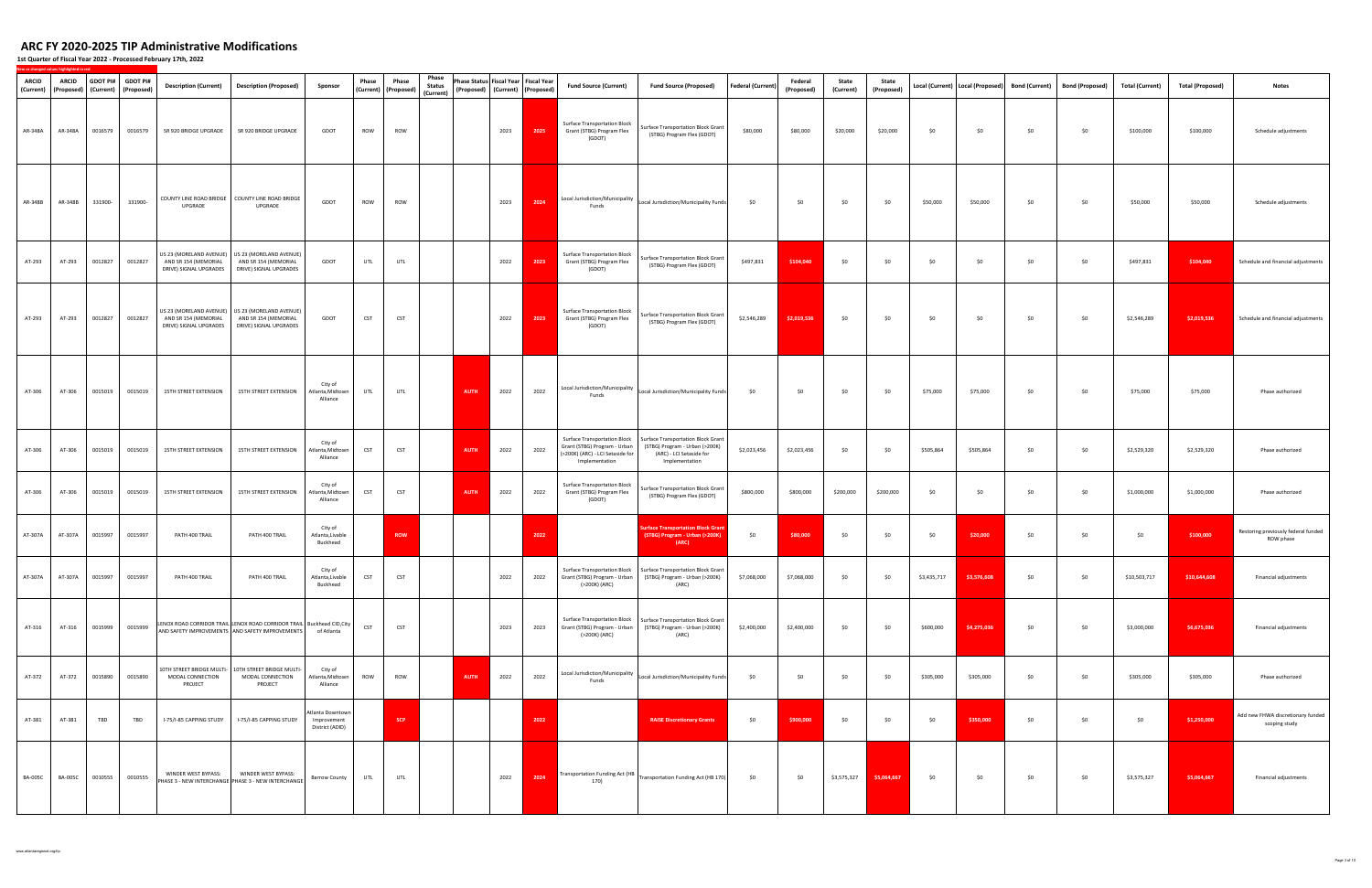| <b>ARCID</b><br>(Current) | ARCID<br>(Proposed) | GDOT PI# | <b>GDOT PI#</b><br>(Current) (Proposed) | <b>Description (Current)</b>                   | <b>Description (Proposed)</b>                                                                                             | Sponsor                                            | Phase      | Phase<br>(Current) (Proposed) | Phase<br><b>Status</b><br>(Current) | Phase Status Fiscal Year Fiscal Year<br>(Proposed) (Current) (Proposed) |      | <b>Fund Source (Current)</b>                                                                                              | <b>Fund Source (Proposed)</b>                                                                                      | <b>Federal (Current)</b> | Federal<br>(Proposed) | State<br>(Current) | State<br>(Proposed) |             | Local (Current)   Local (Proposed) | <b>Bond (Current)</b> | <b>Bond (Proposed)</b> | <b>Total (Current)</b> | <b>Total (Proposed)</b> | <b>Notes</b>                                       |
|---------------------------|---------------------|----------|-----------------------------------------|------------------------------------------------|---------------------------------------------------------------------------------------------------------------------------|----------------------------------------------------|------------|-------------------------------|-------------------------------------|-------------------------------------------------------------------------|------|---------------------------------------------------------------------------------------------------------------------------|--------------------------------------------------------------------------------------------------------------------|--------------------------|-----------------------|--------------------|---------------------|-------------|------------------------------------|-----------------------|------------------------|------------------------|-------------------------|----------------------------------------------------|
| AR-348A                   | AR-348A             | 0016579  | 0016579                                 | SR 920 BRIDGE UPGRADE                          | SR 920 BRIDGE UPGRADE                                                                                                     | GDOT                                               | ROW        | <b>ROW</b>                    |                                     | 2023                                                                    | 2025 | <b>Surface Transportation Block</b><br>Grant (STBG) Program Flex<br>(GDOT)                                                | Surface Transportation Block Grant<br>(STBG) Program Flex (GDOT)                                                   | \$80,000                 | \$80,000              | \$20,000           | \$20,000            | \$0         | \$0                                | \$0                   | \$0                    | \$100,000              | \$100,000               | Schedule adjustments                               |
| AR-348B                   | AR-348B             | 331900-  | 331900-                                 | UPGRADE                                        | COUNTY LINE ROAD BRIDGE COUNTY LINE ROAD BRIDGE<br>UPGRADE                                                                | GDOT                                               | ROW        | <b>ROW</b>                    |                                     | 2023                                                                    | 2024 | Local Jurisdiction/Municipality<br>Funds                                                                                  | Local Jurisdiction/Municipality Funds                                                                              | \$0                      | \$0                   | \$0                | \$0                 | \$50,000    | \$50,000                           | \$0                   | \$0                    | \$50,000               | \$50,000                | Schedule adjustments                               |
| AT-293                    | AT-293              | 0012827  | 0012827                                 | AND SR 154 (MEMORIAL<br>DRIVE) SIGNAL UPGRADES | US 23 (MORELAND AVENUE) US 23 (MORELAND AVENUE)<br>AND SR 154 (MEMORIAL<br>DRIVE) SIGNAL UPGRADES                         | GDOT                                               | UTL        | UTL                           |                                     | 2022                                                                    | 2023 | <b>Surface Transportation Block</b><br>Grant (STBG) Program Flex<br>(GDOT)                                                | Surface Transportation Block Grant<br>(STBG) Program Flex (GDOT)                                                   | \$497,831                | \$104,040             | \$0                | \$0                 | \$0         | \$0                                | \$0                   | \$0                    | \$497,831              | \$104,040               | Schedule and financial adjustments                 |
| AT-293                    | AT-293              | 0012827  | 0012827                                 | AND SR 154 (MEMORIAL<br>DRIVE) SIGNAL UPGRADES | US 23 (MORELAND AVENUE) US 23 (MORELAND AVENUE)<br>AND SR 154 (MEMORIAL<br>DRIVE) SIGNAL UPGRADES                         | GDOT                                               | CST        | <b>CST</b>                    |                                     | 2022                                                                    | 2023 | <b>Surface Transportation Block</b><br>Grant (STBG) Program Flex<br>(GDOT)                                                | Surface Transportation Block Grant<br>(STBG) Program Flex (GDOT)                                                   | \$2,546,289              | \$2,019,536           | \$0                | \$0                 | \$0         | \$0                                | \$0                   | \$0                    | \$2,546,289            | \$2,019,536             | Schedule and financial adjustments                 |
| AT-306                    | AT-306              | 0015019  | 0015019                                 | 15TH STREET EXTENSION                          | 15TH STREET EXTENSION                                                                                                     | City of<br>Atlanta, Midtown<br>Alliance            | UTL        | UTL                           |                                     | 2022<br><b>AUTH</b>                                                     | 2022 | Local Jurisdiction/Municipality<br>Funds                                                                                  | Local Jurisdiction/Municipality Funds                                                                              | \$0                      | \$0                   | \$0                | \$0                 | \$75,000    | \$75,000                           | \$0                   | \$0                    | \$75,000               | \$75,000                | Phase authorized                                   |
| AT-306                    | AT-306              | 0015019  | 0015019                                 | 15TH STREET EXTENSION                          | 15TH STREET EXTENSION                                                                                                     | City of<br>Atlanta, Midtown<br>Alliance            | <b>CST</b> | <b>CST</b>                    |                                     | 2022<br><b>AUTH</b>                                                     | 2022 | <b>Surface Transportation Block</b><br>Grant (STBG) Program - Urban<br>(>200K) (ARC) - LCI Setaside for<br>Implementation | Surface Transportation Block Grant<br>(STBG) Program - Urban (>200K)<br>(ARC) - LCI Setaside for<br>Implementation | \$2,023,456              | \$2,023,456           | \$0                | \$0                 | \$505,864   | \$505,864                          | \$0                   | \$0                    | \$2,529,320            | \$2,529,320             | Phase authorized                                   |
| AT-306                    | AT-306              | 0015019  | 0015019                                 | 15TH STREET EXTENSION                          | 15TH STREET EXTENSION                                                                                                     | City of<br>Atlanta, Midtown<br>Alliance            | <b>CST</b> | <b>CST</b>                    |                                     | 2022<br><b>AUTH</b>                                                     | 2022 | <b>Surface Transportation Block</b><br>Grant (STBG) Program Flex<br>(GDOT)                                                | Surface Transportation Block Grant<br>(STBG) Program Flex (GDOT)                                                   | \$800,000                | \$800,000             | \$200,000          | \$200,000           | \$0         | \$0                                | \$0                   | \$0                    | \$1,000,000            | \$1,000,000             | Phase authorized                                   |
| AT-307A                   | AT-307A             | 0015997  | 0015997                                 | PATH 400 TRAIL                                 | PATH 400 TRAIL                                                                                                            | City of<br>Atlanta, Livable<br>Buckhead            |            | <b>ROW</b>                    |                                     |                                                                         | 2022 |                                                                                                                           | <b>iurface Transportation Block Gran</b><br>(STBG) Program - Urban (>200K)<br>(ARC)                                | \$0                      | \$80,000              | \$0                | \$0                 | \$0         | \$20,000                           | \$0                   | \$0                    | \$0                    | \$100,000               | Restoring previously federal funded<br>ROW phase   |
| AT-307A                   | AT-307A             | 0015997  | 0015997                                 | PATH 400 TRAIL                                 | PATH 400 TRAIL                                                                                                            | City of<br>Atlanta, Livable<br>Buckhead            | CST        | <b>CST</b>                    |                                     | 2022                                                                    | 2022 | Grant (STBG) Program - Urban<br>(>200K) (ARC)                                                                             | Surface Transportation Block Surface Transportation Block Grant<br>(STBG) Program - Urban (>200K)<br>(ARC)         | \$7,068,000              | \$7,068,000           | \$0                | \$0                 | \$3,435,717 | \$3,576,608                        | \$0                   | \$0                    | \$10,503,717           | \$10,644,608            | Financial adjustments                              |
| AT-316                    | AT-316              | 0015999  | 0015999                                 |                                                | LENOX ROAD CORRIDOR TRAIL LENOX ROAD CORRIDOR TRAIL Buckhead CID, City<br>AND SAFETY IMPROVEMENTS AND SAFETY IMPROVEMENTS | of Atlanta                                         | CST        | <b>CST</b>                    |                                     | 2023                                                                    | 2023 | Grant (STBG) Program - Urban<br>(>200K) (ARC)                                                                             | Surface Transportation Block   Surface Transportation Block Grant<br>(STBG) Program - Urban (>200K)<br>(ARC)       | \$2,400,000              | \$2,400,000           | \$0                | \$0                 | \$600,000   | \$4,275,036                        | \$0                   | \$0                    | \$3,000,000            | \$6,675,036             | Financial adjustments                              |
| AT-372                    | AT-372              | 0015890  | 0015890                                 | MODAL CONNECTION<br>PROJECT                    | 10TH STREET BRIDGE MULTI- 10TH STREET BRIDGE MULTI-<br>MODAL CONNECTION<br>PROJECT                                        | City of<br>Atlanta,Midtown<br>Alliance             | <b>ROW</b> | <b>ROW</b>                    |                                     | 2022<br><b>AUTH</b>                                                     | 2022 | Local Jurisdiction/Municipality<br>Funds                                                                                  | Local Jurisdiction/Municipality Funds                                                                              | \$0                      | \$0                   | \$0                | \$0                 | \$305,000   | \$305,000                          | \$0                   | \$0                    | \$305,000              | \$305,000               | Phase authorized                                   |
| AT-381                    | AT-381              | TBD      | TBD                                     | I-75/I-85 CAPPING STUDY                        | I-75/I-85 CAPPING STUDY                                                                                                   | Atlanta Downtown<br>Improvement<br>District (ADID) |            | <b>SCP</b>                    |                                     |                                                                         | 2022 |                                                                                                                           | <b>RAISE Discretionary Grants</b>                                                                                  | \$0                      | \$900,000             | \$0                | \$0                 | \$0         | \$350,000                          | \$0                   | \$0                    | \$0                    | \$1,250,000             | Add new FHWA discretionary funded<br>scoping study |
| <b>BA-005C</b>            | <b>BA-005C</b>      | 0010555  | 0010555                                 | WINDER WEST BYPASS:                            | WINDER WEST BYPASS:<br>PHASE 3 - NEW INTERCHANGE PHASE 3 - NEW INTERCHANGE                                                | <b>Barrow County</b>                               | UTL        | UTL                           |                                     | 2022                                                                    | 2024 | 170)                                                                                                                      | Transportation Funding Act (HB Transportation Funding Act (HB 170)                                                 | \$0                      | \$0                   | \$3,575,327        | \$5,064,667         | \$0         | \$0                                | \$0                   | \$0                    | \$3,575,327            | \$5,064,667             | Financial adjustments                              |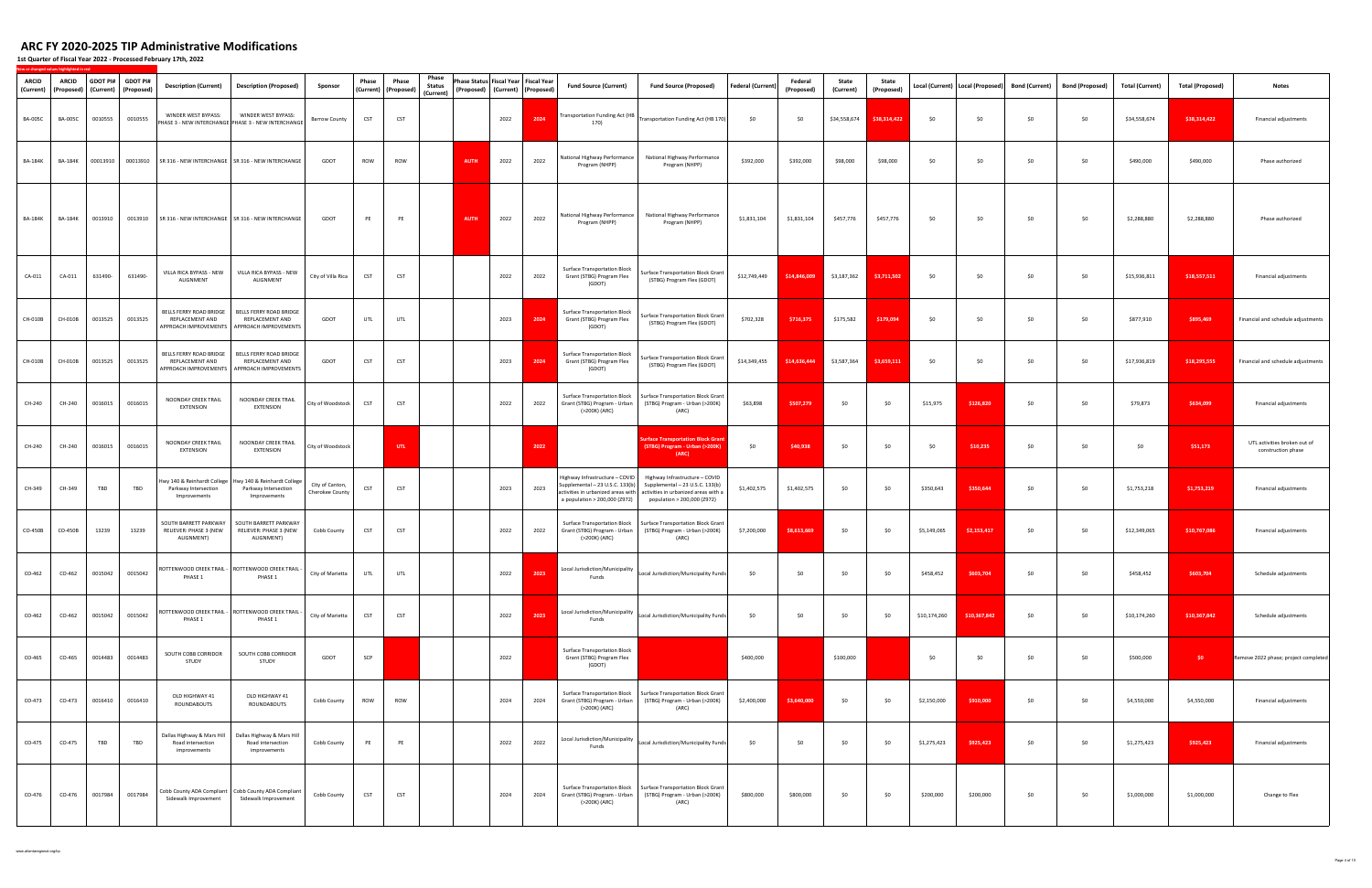| ARCID<br>(Current) | <b>ARCID</b><br>(Proposed) | (Current) | GDOT PI# GDOT PI#<br>(Proposed) | <b>Description (Current)</b>                                    | <b>Description (Proposed)</b>                                                                   | Sponsor                            | Phase      | Phase<br>(Current) (Proposed) | Phase<br><b>Status</b><br>(Current) | Phase Status Fiscal Year Fiscal Year<br>(Proposed) (Current) (Proposed) |      |      | Fund Source (Current)                                                                              | <b>Fund Source (Proposed)</b>                                                                                                                                               | <b>Federal (Current)</b> | Federal<br>(Proposed) | State<br>(Current) | State<br>(Proposed) |              | Local (Current)   Local (Proposed) | <b>Bond (Current)</b> | <b>Bond (Proposed)</b> | <b>Total (Current)</b> | <b>Total (Proposed)</b> | Notes                                              |
|--------------------|----------------------------|-----------|---------------------------------|-----------------------------------------------------------------|-------------------------------------------------------------------------------------------------|------------------------------------|------------|-------------------------------|-------------------------------------|-------------------------------------------------------------------------|------|------|----------------------------------------------------------------------------------------------------|-----------------------------------------------------------------------------------------------------------------------------------------------------------------------------|--------------------------|-----------------------|--------------------|---------------------|--------------|------------------------------------|-----------------------|------------------------|------------------------|-------------------------|----------------------------------------------------|
| <b>BA-005C</b>     | <b>BA-005C</b>             | 0010555   | 0010555                         | WINDER WEST BYPASS:                                             | WINDER WEST BYPASS:<br>PHASE 3 - NEW INTERCHANGE PHASE 3 - NEW INTERCHANGE                      | <b>Barrow County</b>               | <b>CST</b> | <b>CST</b>                    |                                     |                                                                         | 2022 | 2024 | Transportation Funding Act (HB<br>170)                                                             | Transportation Funding Act (HB 170)                                                                                                                                         | \$0                      | \$0                   | \$34,558,674       | \$38,314,422        | \$0          | \$0                                | \$0                   | \$0                    | \$34,558,674           | \$38,314,422            | Financial adjustments                              |
| BA-184K            | <b>BA-184K</b>             | 00013910  | 00013910                        |                                                                 | SR 316 - NEW INTERCHANGE SR 316 - NEW INTERCHANGE                                               | GDOT                               | ROW        | ROW                           |                                     | <b>AUTH</b>                                                             | 2022 | 2022 | National Highway Performance<br>Program (NHPP)                                                     | National Highway Performance<br>Program (NHPP)                                                                                                                              | \$392,000                | \$392,000             | \$98,000           | \$98,000            | \$0          | \$0                                | \$0                   | \$0                    | \$490,000              | \$490,000               | Phase authorized                                   |
| BA-184K            | <b>BA-184K</b>             | 0013910   | 0013910                         |                                                                 | SR 316 - NEW INTERCHANGE SR 316 - NEW INTERCHANGE                                               | GDOT                               | PE         | PE                            |                                     | <b>AUTH</b>                                                             | 2022 | 2022 | National Highway Performance<br>Program (NHPP)                                                     | National Highway Performance<br>Program (NHPP)                                                                                                                              | \$1,831,104              | \$1,831,104           | \$457,776          | \$457,776           | \$0          | \$0                                | \$0                   | \$0                    | \$2,288,880            | \$2,288,880             | Phase authorized                                   |
| CA-011             | CA-011                     | 631490-   | 631490-                         | VILLA RICA BYPASS - NEW<br>ALIGNMENT                            | VILLA RICA BYPASS - NEW<br>ALIGNMENT                                                            | City of Villa Rica                 | CST        | <b>CST</b>                    |                                     |                                                                         | 2022 | 2022 | <b>Surface Transportation Block</b><br>Grant (STBG) Program Flex<br>(GDOT)                         | Surface Transportation Block Grant<br>(STBG) Program Flex (GDOT)                                                                                                            | \$12,749,449             | \$14,846,009          | \$3,187,362        | \$3,711,502         | \$0          | \$0                                | \$0                   | \$0                    | \$15,936,811           | \$18,557,511            | Financial adjustments                              |
| CH-010B            | CH-010B                    | 0013525   | 0013525                         | BELLS FERRY ROAD BRIDGE<br>REPLACEMENT AND                      | BELLS FERRY ROAD BRIDGE<br>REPLACEMENT AND<br>APPROACH IMPROVEMENTS   APPROACH IMPROVEMENTS     | GDOT                               | UTL        | UTL                           |                                     |                                                                         | 2023 | 2024 | <b>Surface Transportation Block</b><br>Grant (STBG) Program Flex<br>(GDOT)                         | Surface Transportation Block Grant<br>(STBG) Program Flex (GDOT)                                                                                                            | \$702,328                | \$716,375             | \$175,582          | \$179,094           | \$0          | \$0                                | \$0                   | \$0                    | \$877,910              | \$895,469               | Financial and schedule adjustments                 |
| CH-010B            | CH-010B                    | 0013525   | 0013525                         | BELLS FERRY ROAD BRIDGE<br>REPLACEMENT AND                      | BELLS FERRY ROAD BRIDGE<br>REPLACEMENT AND<br>APPROACH IMPROVEMENTS   APPROACH IMPROVEMENTS     | GDOT                               | <b>CST</b> | <b>CST</b>                    |                                     |                                                                         | 2023 | 2024 | <b>Surface Transportation Block</b><br>Grant (STBG) Program Flex<br>(GDOT)                         | Surface Transportation Block Grant<br>(STBG) Program Flex (GDOT)                                                                                                            | \$14,349,455             | \$14,636,444          | \$3,587,364        | \$3,659,111         | \$0          | \$0                                | \$0                   | \$0                    | \$17,936,819           | \$18,295,555            | Financial and schedule adjustments                 |
| CH-240             | CH-240                     | 0016015   | 0016015                         | NOONDAY CREEK TRAIL<br><b>EXTENSION</b>                         | NOONDAY CREEK TRAIL<br><b>EXTENSION</b>                                                         | City of Woodstock                  | <b>CST</b> | <b>CST</b>                    |                                     |                                                                         | 2022 | 2022 | <b>Surface Transportation Block</b><br>Grant (STBG) Program - Urban<br>(>200K) (ARC)               | Surface Transportation Block Grant<br>(STBG) Program - Urban (>200K)<br>(ARC)                                                                                               | \$63,898                 | \$507,279             | \$0                | \$0                 | \$15,975     | \$126,820                          | \$0                   | \$0                    | \$79,873               | \$634,099               | Financial adjustments                              |
| CH-240             | CH-240                     | 0016015   | 0016015                         | NOONDAY CREEK TRAIL<br><b>EXTENSION</b>                         | NOONDAY CREEK TRAIL<br><b>EXTENSION</b>                                                         | City of Woodstock                  |            | UTL.                          |                                     |                                                                         |      | 2022 |                                                                                                    | <b>urface Transportation Block Gran</b><br>(STBG) Program - Urban (>200K)<br>(ARC)                                                                                          | \$0                      | \$40,938              | \$0                | \$0                 | \$0          | \$10,235                           | \$0                   | \$0                    | \$0                    | \$51,173                | UTL activities broken out of<br>construction phase |
| CH-349             | CH-349                     | TBD       | TBD                             | Parkway Intersection<br>Improvements                            | Iwy 140 & Reinhardt College Hwy 140 & Reinhardt College<br>Parkway Intersection<br>Improvements | City of Canton,<br>Cherokee County | <b>CST</b> | <b>CST</b>                    |                                     |                                                                         | 2023 | 2023 | Highway Infrastructure - COVID<br>Supplemental - 23 U.S.C. 133(b)<br>a population > 200,000 (Z972) | Highway Infrastructure - COVID<br>Supplemental - 23 U.S.C. 133(b)<br>activities in urbanized areas with activities in urbanized areas with a<br>population > 200,000 (Z972) | \$1,402,575              | \$1,402,575           | \$0                | \$0                 | \$350,643    | \$350,644                          | \$0                   | \$0                    | \$1,753,218            | \$1,753,219             | Financial adjustments                              |
| CO-450B            | CO-450B                    | 13239     | 13239                           | SOUTH BARRETT PARKWAY<br>RELIEVER: PHASE 3 (NEW<br>ALIGNMENT)   | SOUTH BARRETT PARKWAY<br>RELIEVER: PHASE 3 (NEW<br>ALIGNMENT)                                   | Cobb County                        | <b>CST</b> | <b>CST</b>                    |                                     |                                                                         | 2022 | 2022 | <b>Surface Transportation Block</b><br>Grant (STBG) Program - Urban<br>(>200K) (ARC)               | Surface Transportation Block Grant<br>(STBG) Program - Urban (>200K)<br>(ARC)                                                                                               | \$7,200,000              | \$8,613,669           | \$0                | \$0                 | \$5,149,065  | \$2,153,417                        | \$0                   | \$0                    | \$12,349,065           | \$10,767,086            | Financial adjustments                              |
|                    |                            |           | CO-462 CO-462 0015042 0015042   | PHASE 1                                                         | ROTTENWOOD CREEK TRAIL - ROTTENWOOD CREEK TRAIL -<br>PHASE 1                                    | City of Marietta                   | UTL        | UTL                           |                                     |                                                                         | 2022 | 2023 | Local Jurisdiction/Municipality<br>Funds                                                           | Local Jurisdiction/Municipality Funds                                                                                                                                       | \$0                      | \$0                   | \$0                |                     | \$458,452    | \$603,704                          |                       | \$0                    | \$458,452              | \$603,704               | Schedule adjustments                               |
| CO-462             | CO-462                     | 0015042   | 0015042                         | PHASE 1                                                         | OTTENWOOD CREEK TRAIL - ROTTENWOOD CREEK TRAIL -<br>PHASE 1                                     | City of Marietta                   | CST        | <b>CST</b>                    |                                     |                                                                         | 2022 | 2023 | Local Jurisdiction/Municipality<br>Funds                                                           | Local Jurisdiction/Municipality Funds                                                                                                                                       | \$0                      | \$0                   | \$0                | \$0                 | \$10,174,260 | \$10,367,842                       | \$0                   | \$0                    | \$10,174,260           | \$10,367,842            | Schedule adjustments                               |
| CO-465             | CO-465                     | 0014483   | 0014483                         | SOUTH COBB CORRIDOR<br>STUDY                                    | SOUTH COBB CORRIDOR<br>STUDY                                                                    | GDOT                               | SCP        |                               |                                     |                                                                         | 2022 |      | <b>Surface Transportation Block</b><br>Grant (STBG) Program Flex<br>(GDOT)                         |                                                                                                                                                                             | \$400,000                |                       | \$100,000          |                     | \$0          | \$0                                | \$0                   | \$0                    | \$500,000              | \$0                     | Remove 2022 phase; project completed               |
| CO-473             | CO-473                     | 0016410   | 0016410                         | OLD HIGHWAY 41<br>ROUNDABOUTS                                   | OLD HIGHWAY 41<br>ROUNDABOUTS                                                                   | Cobb County                        | ROW        | ROW                           |                                     |                                                                         | 2024 | 2024 | <b>Surface Transportation Block</b><br>Grant (STBG) Program - Urban<br>(>200K) (ARC)               | Surface Transportation Block Grant<br>(STBG) Program - Urban (>200K)<br>(ARC)                                                                                               | \$2,400,000              | \$3,640,000           | \$0                | \$0                 | \$2,150,000  | \$910,000                          | \$0                   | \$0                    | \$4,550,000            | \$4,550,000             | Financial adjustments                              |
| CO-475             | CO-475                     | TBD       | TBD                             | Dallas Highway & Mars Hill<br>Road intersection<br>improvements | Dallas Highway & Mars Hill<br>Road intersection<br>improvements                                 | Cobb County                        | PE         | PE                            |                                     |                                                                         | 2022 | 2022 | Local Jurisdiction/Municipality<br>Funds                                                           | Local Jurisdiction/Municipality Funds                                                                                                                                       | \$0                      | \$0                   | \$0                | \$0                 | \$1,275,423  | \$925,423                          | \$0                   | \$0                    | \$1,275,423            | \$925,423               | Financial adjustments                              |
| CO-476             | CO-476                     | 0017984   | 0017984                         | Sidewalk Improvement                                            | Cobb County ADA Compliant Cobb County ADA Compliant<br>Sidewalk Improvement                     | Cobb County                        | CST        | <b>CST</b>                    |                                     |                                                                         | 2024 | 2024 | <b>Surface Transportation Block</b><br>Grant (STBG) Program - Urban<br>(>200K) (ARC)               | Surface Transportation Block Grant<br>(STBG) Program - Urban (>200K)<br>(ARC)                                                                                               | \$800,000                | \$800,000             | \$0                | \$0                 | \$200,000    | \$200,000                          | \$0                   | \$0                    | \$1,000,000            | \$1,000,000             | Change to Flex                                     |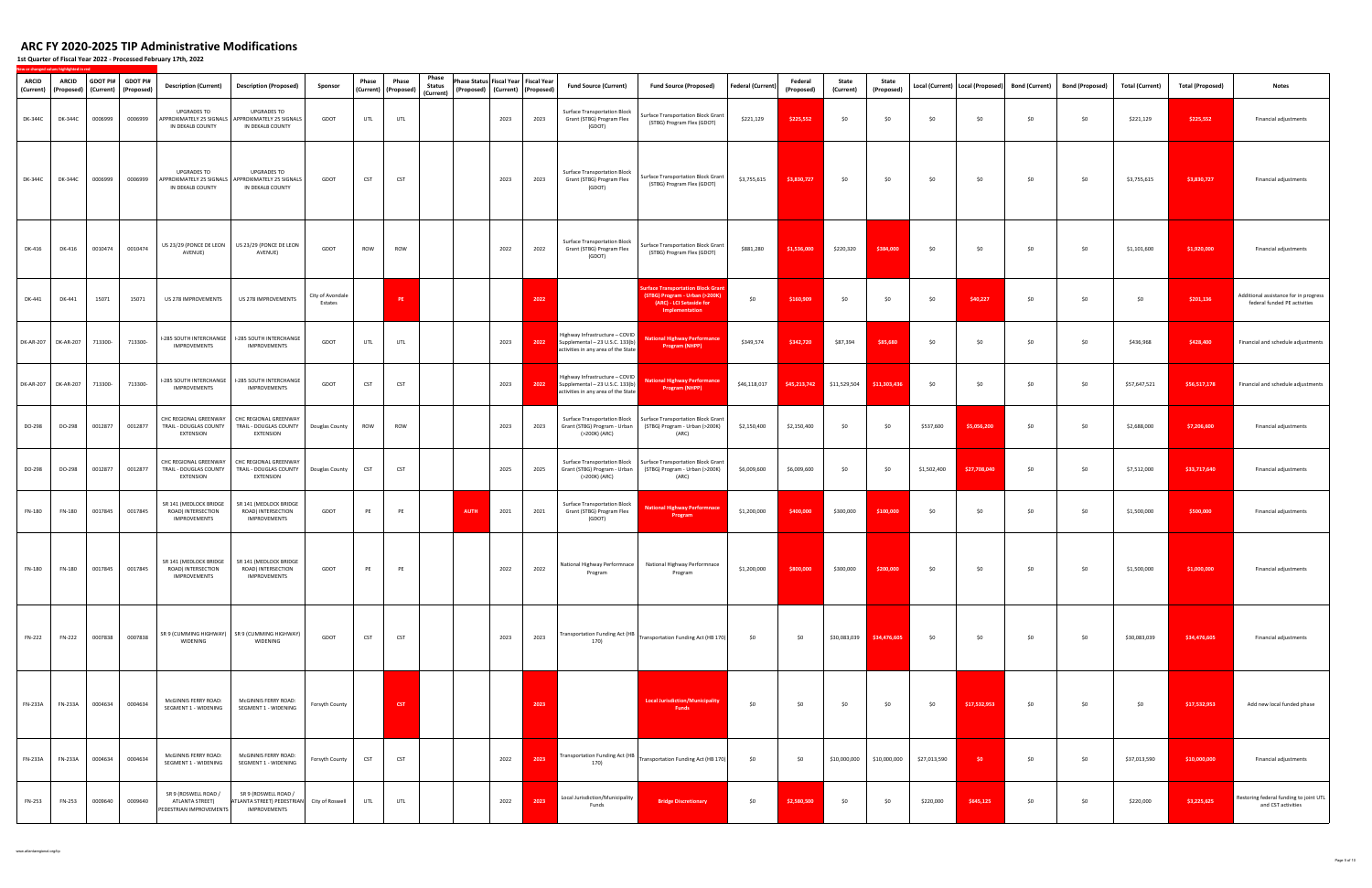| <b>ARCID</b><br>(Current) | <b>ARCID</b><br>(Proposed) |         | GDOT PI# GDOT PI#<br>(Current) (Proposed) | <b>Description (Current)</b>                                       | <b>Description (Proposed)</b>                                                               | Sponsor                     | Phase      | Phase<br>(Current) (Proposed) | Phase<br><b>Status</b><br>(Current) | Phase Status Fiscal Year Fiscal Year<br>(Proposed) (Current) (Proposed) |      |      | <b>Fund Source (Current)</b>                                                                             | <b>Fund Source (Proposed)</b>                                                                                    | Federal (Current) | Federal<br>(Proposed) | State<br>(Current)            | State<br>(Proposed) |              | Local (Current)   Local (Proposed) | <b>Bond (Current)</b> | <b>Bond (Proposed)</b> | <b>Total (Current)</b> | <b>Total (Proposed)</b> | <b>Notes</b>                                                          |
|---------------------------|----------------------------|---------|-------------------------------------------|--------------------------------------------------------------------|---------------------------------------------------------------------------------------------|-----------------------------|------------|-------------------------------|-------------------------------------|-------------------------------------------------------------------------|------|------|----------------------------------------------------------------------------------------------------------|------------------------------------------------------------------------------------------------------------------|-------------------|-----------------------|-------------------------------|---------------------|--------------|------------------------------------|-----------------------|------------------------|------------------------|-------------------------|-----------------------------------------------------------------------|
| DK-344C                   | DK-344C                    | 0006999 | 0006999                                   | <b>UPGRADES TO</b><br>IN DEKALB COUNTY                             | <b>UPGRADES TO</b><br>APPROXIMATELY 25 SIGNALS APPROXIMATELY 25 SIGNALS<br>IN DEKALB COUNTY | GDOT                        | UTL        | UTL                           |                                     |                                                                         | 2023 | 2023 | <b>Surface Transportation Block</b><br>Grant (STBG) Program Flex<br>(GDOT)                               | Surface Transportation Block Grant<br>(STBG) Program Flex (GDOT)                                                 | \$221,129         | \$225,552             | \$0                           | \$0                 | \$0          | \$0                                | \$0                   | \$0                    | \$221,129              | \$225,552               | Financial adjustments                                                 |
| DK-344C                   | DK-344C                    | 0006999 | 0006999                                   | <b>UPGRADES TO</b><br>IN DEKALB COUNTY                             | <b>UPGRADES TO</b><br>APPROXIMATELY 25 SIGNALS APPROXIMATELY 25 SIGNALS<br>IN DEKALB COUNTY | GDOT                        | <b>CST</b> | CST                           |                                     |                                                                         | 2023 | 2023 | <b>Surface Transportation Block</b><br>Grant (STBG) Program Flex<br>(GDOT)                               | Surface Transportation Block Grant<br>(STBG) Program Flex (GDOT)                                                 | \$3,755,615       | \$3,830,727           | \$0                           | \$0                 | \$0          | \$0                                | \$0                   | \$0                    | \$3,755,615            | \$3,830,727             | Financial adjustments                                                 |
| DK-416                    | DK-416                     | 0010474 | 0010474                                   | AVENUE)                                                            | US 23/29 (PONCE DE LEON   US 23/29 (PONCE DE LEON<br>AVENUE)                                | GDOT                        | ROW        | ROW                           |                                     |                                                                         | 2022 | 2022 | <b>Surface Transportation Block</b><br>Grant (STBG) Program Flex<br>(GDOT)                               | Surface Transportation Block Grant<br>(STBG) Program Flex (GDOT)                                                 | \$881,280         | \$1,536,000           | \$220,320                     | \$384,000           | \$0          | \$0                                | \$0                   | \$0                    | \$1,101,600            | \$1,920,000             | Financial adjustments                                                 |
| DK-441                    | DK-441                     | 15071   | 15071                                     | US 278 IMPROVEMENTS                                                | US 278 IMPROVEMENTS                                                                         | City of Avondale<br>Estates |            | PE                            |                                     |                                                                         |      | 2022 |                                                                                                          | urface Transportation Block Gran<br>(STBG) Program - Urban (>200K)<br>(ARC) - LCI Setaside for<br>Implementation | \$0               | \$160,909             | \$0                           | \$0                 | \$0          | \$40,227                           | \$0                   | \$0                    | \$0                    | \$201,136               | Additional assistance for in progress<br>federal funded PE activities |
|                           | DK-AR-207 DK-AR-207        | 713300- | 713300-                                   | I-285 SOUTH INTERCHANGE<br>IMPROVEMENTS                            | <b>I-285 SOUTH INTERCHANGE</b><br>IMPROVEMENTS                                              | GDOT                        | UTL        | UTL                           |                                     |                                                                         | 2023 | 2022 | Highway Infrastructure - COVID<br>Supplemental - 23 U.S.C. 133(b)<br>activities in any area of the State | <b>National Highway Performance</b><br><b>Program (NHPP)</b>                                                     | \$349,574         | \$342,720             | \$87,394                      | \$85,680            | \$0          | \$0                                | \$0                   | \$0                    | \$436,968              | \$428,400               | Financial and schedule adjustments                                    |
|                           | DK-AR-207 DK-AR-207        | 713300- | 713300-                                   | I-285 SOUTH INTERCHANGE<br>IMPROVEMENTS                            | I-285 SOUTH INTERCHANGE<br>IMPROVEMENTS                                                     | GDOT                        | <b>CST</b> | <b>CST</b>                    |                                     |                                                                         | 2023 | 2022 | Highway Infrastructure - COVID<br>Supplemental - 23 U.S.C. 133(b)<br>activities in any area of the State | tional Highway Performance<br>Program (NHPP)                                                                     | \$46,118,017      | \$45,213,742          | \$11,529,504                  | \$11,303,436        | \$0          | \$0                                | \$0                   | \$0                    | \$57,647,521           | \$56,517,178            | Financial and schedule adjustments                                    |
| DO-298                    | DO-298                     | 0012877 | 0012877                                   | CHC REGIONAL GREENWAY<br>TRAIL - DOUGLAS COUNTY<br>EXTENSION       | CHC REGIONAL GREENWAY<br>TRAIL - DOUGLAS COUNTY<br><b>EXTENSION</b>                         | Douglas County              | ROW        | <b>ROW</b>                    |                                     |                                                                         | 2023 | 2023 | <b>Surface Transportation Block</b><br>Grant (STBG) Program - Urban<br>(>200K) (ARC)                     | Surface Transportation Block Grant<br>(STBG) Program - Urban (>200K)<br>(ARC)                                    | \$2,150,400       | \$2,150,400           | \$0                           | \$0                 | \$537,600    | \$5,056,200                        | \$0                   | \$0                    | \$2,688,000            | \$7,206,600             | Financial adjustments                                                 |
| DO-298                    | DO-298                     | 0012877 | 0012877                                   | CHC REGIONAL GREENWAY<br>TRAIL - DOUGLAS COUNTY<br>EXTENSION       | CHC REGIONAL GREENWAY<br>TRAIL - DOUGLAS COUNTY Douglas County<br>EXTENSION                 |                             | CST        | <b>CST</b>                    |                                     |                                                                         | 2025 | 2025 | Surface Transportation Block<br>Grant (STBG) Program - Urban<br>(>200K) (ARC)                            | <b>Surface Transportation Block Grant</b><br>(STBG) Program - Urban (>200K)<br>(ARC)                             | \$6,009,600       | \$6,009,600           | \$0                           | \$0                 | \$1,502,400  | \$27,708,040                       | \$0                   | \$0                    | \$7,512,000            | \$33,717,640            | Financial adjustments                                                 |
| FN-180                    | <b>FN-180</b>              | 0017845 | 0017845                                   | SR 141 (MEDLOCK BRIDGE<br>ROAD) INTERSECTION<br>IMPROVEMENTS       | SR 141 (MEDLOCK BRIDGE<br>ROAD) INTERSECTION<br>IMPROVEMENTS                                | GDOT                        | PE         | PE                            |                                     | <b>AUTH</b>                                                             | 2021 | 2021 | Surface Transportation Block<br>Grant (STBG) Program Flex<br>(GDOT)                                      | <b>Jational Highway Performnace</b><br>Program                                                                   | \$1,200,000       | \$400,000             | \$300,000                     | \$100,000           | \$0          | \$0                                | \$0                   | \$0                    | \$1,500,000            | \$500,000               | Financial adjustments                                                 |
| FN-180                    |                            |         | FN-180 0017845 0017845                    | ROAD) INTERSECTION<br>IMPROVEMENTS                                 | SR 141 (MEDLOCK BRIDGE SR 141 (MEDLOCK BRIDGE<br>ROAD) INTERSECTION<br>IMPROVEMENTS         | GDOT                        | PE         | PE                            |                                     |                                                                         | 2022 | 2022 | Program                                                                                                  | National Highway Performnace National Highway Performnace<br>Program                                             | \$1,200,000       |                       | \$800,000 \$300,000 \$200,000 |                     | \$0          | \$0                                | \$0                   | \$0                    | \$1,500,000            | \$1,000,000             | Financial adiustments                                                 |
| <b>FN-222</b>             | FN-222                     | 0007838 | 0007838                                   | WIDENING                                                           | SR 9 (CUMMING HIGHWAY) SR 9 (CUMMING HIGHWAY)<br>WIDENING                                   | GDOT                        | CST        | <b>CST</b>                    |                                     |                                                                         | 2023 | 2023 | 170)                                                                                                     | Transportation Funding Act (HB   Transportation Funding Act (HB 170)                                             | \$0               | \$0                   | \$30,083,039                  | \$34,476,605        | \$0          | \$0                                | \$0                   | \$0                    | \$30,083,039           | \$34,476,605            | Financial adjustments                                                 |
| FN-233A                   | <b>FN-233A</b>             | 0004634 | 0004634                                   | McGINNIS FERRY ROAD:<br>SEGMENT 1 - WIDENING                       | McGINNIS FERRY ROAD:<br>SEGMENT 1 - WIDENING                                                | Forsyth County              |            | <b>CST</b>                    |                                     |                                                                         |      | 2023 |                                                                                                          | <b>Local Jurisdiction/Municipality</b><br><b>Fund</b>                                                            | \$0               | \$0                   | \$0                           | \$0                 | \$0          | \$17,532,953                       | \$0                   | \$0                    | \$0                    | \$17,532,953            | Add new local funded phase                                            |
| FN-233A                   | FN-233A                    | 0004634 | 0004634                                   | McGINNIS FERRY ROAD:<br>SEGMENT 1 - WIDENING                       | McGINNIS FERRY ROAD:<br>SEGMENT 1 - WIDENING                                                | Forsyth County              | CST        | CST                           |                                     |                                                                         | 2022 | 2023 |                                                                                                          | Transportation Funding Act (HB   Transportation Funding Act (HB 170)                                             | \$0               | \$0                   | \$10,000,000                  | \$10,000,000        | \$27,013,590 | - \$0                              | \$0                   | \$0                    | \$37,013,590           | \$10,000,000            | Financial adjustments                                                 |
| <b>FN-253</b>             | FN-253                     | 0009640 | 0009640                                   | SR 9 (ROSWELL ROAD /<br>ATLANTA STREET)<br>PEDESTRIAN IMPROVEMENTS | SR 9 (ROSWELL ROAD /<br>ATLANTA STREET) PEDESTRIAN City of Roswell<br>IMPROVEMENTS          |                             | UTL        | UTL                           |                                     |                                                                         | 2022 | 2023 | Local Jurisdiction/Municipality<br>Funds                                                                 | <b>Bridge Discretionary</b>                                                                                      | \$0               | \$2,580,500           | \$0                           | \$0                 | \$220,000    | \$645,125                          | \$0                   | \$0                    | \$220,000              | \$3,225,625             | Restoring federal funding to joint UTL<br>and CST activities          |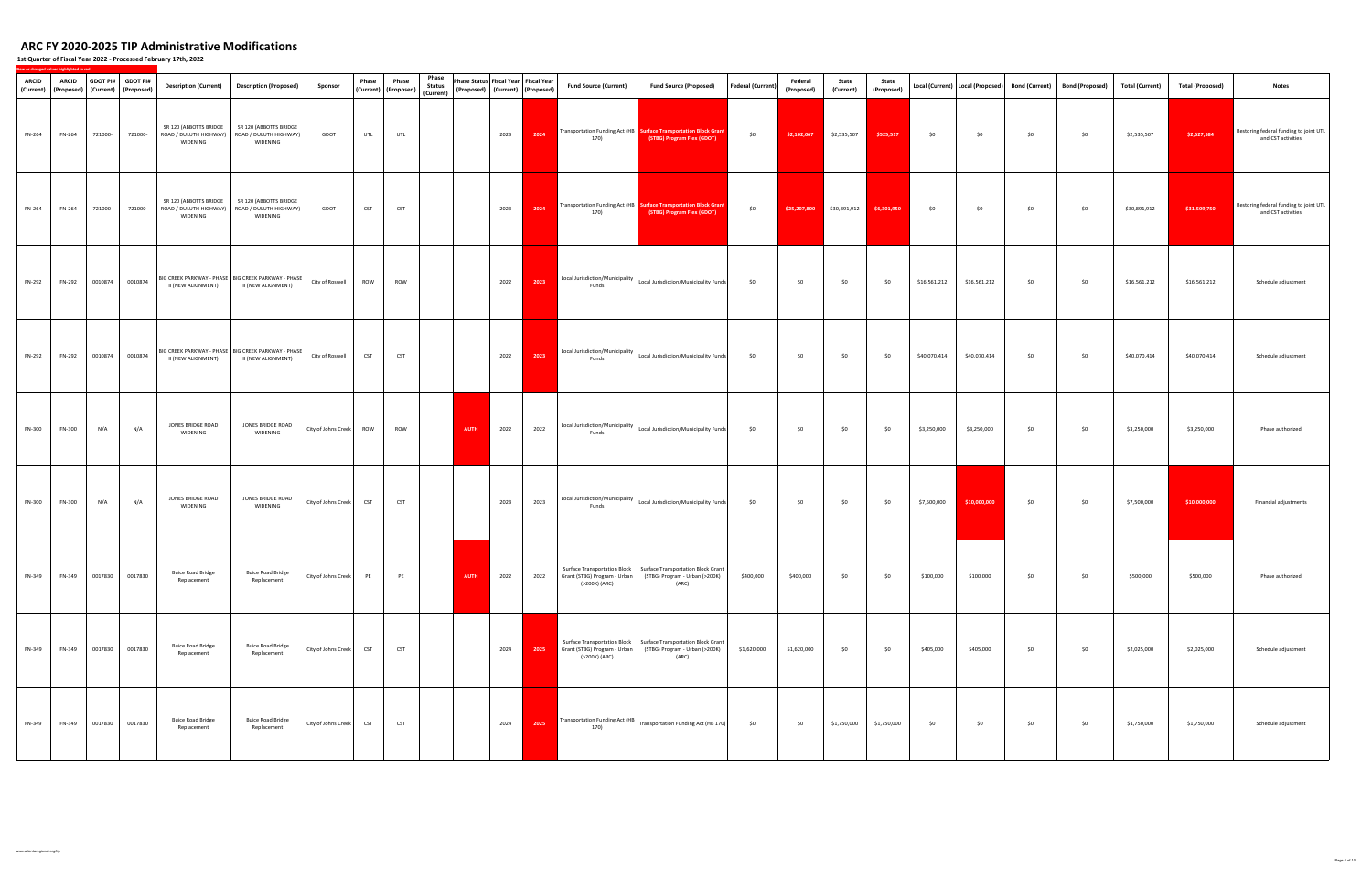| <b>ARCID</b><br>(Current) | <b>ARCID</b><br>(Proposed) | GDOT PI#               | <b>GDOT PI#</b><br>(Current) (Proposed) | <b>Description (Current)</b>            | <b>Description (Proposed)</b>                                                         | Sponsor                 | Phase      | Phase<br>(Current) (Proposed) | Phase<br><b>Status</b><br>(Current) | Phase Status Fiscal Year Fiscal Year<br>(Proposed) (Current) (Proposed) |      | <b>Fund Source (Current)</b>                                                       | <b>Fund Source (Proposed)</b>                                                                                                                  | <b>Federal (Current)</b> | Federal<br>(Proposed) | State<br>(Current) | State<br>(Proposed) |              | Local (Current)   Local (Proposed) | Bond (Current) | <b>Bond (Proposed)</b> | <b>Total (Current)</b> | <b>Total (Proposed)</b> | <b>Notes</b>                                                 |
|---------------------------|----------------------------|------------------------|-----------------------------------------|-----------------------------------------|---------------------------------------------------------------------------------------|-------------------------|------------|-------------------------------|-------------------------------------|-------------------------------------------------------------------------|------|------------------------------------------------------------------------------------|------------------------------------------------------------------------------------------------------------------------------------------------|--------------------------|-----------------------|--------------------|---------------------|--------------|------------------------------------|----------------|------------------------|------------------------|-------------------------|--------------------------------------------------------------|
| FN-264                    | FN-264                     | 721000-                | 721000-                                 | SR 120 (ABBOTTS BRIDGE<br>WIDENING      | SR 120 (ABBOTTS BRIDGE<br>ROAD / DULUTH HIGHWAY)   ROAD / DULUTH HIGHWAY)<br>WIDENING | GDOT                    | UTL        | UTL                           |                                     | 2023                                                                    | 2024 | 170)                                                                               | Transportation Funding Act (HB Surface Transportation Block Grant<br>(STBG) Program Flex (GDOT)                                                | \$0                      | \$2,102,067           | \$2,535,507        | \$525,517           | \$0          | \$0                                | \$0            | \$0                    | \$2,535,507            | \$2,627,584             | Restoring federal funding to joint UTL<br>and CST activities |
| FN-264                    | FN-264                     | 721000-                | 721000-                                 | SR 120 (ABBOTTS BRIDGE<br>WIDENING      | SR 120 (ABBOTTS BRIDGE<br>ROAD / DULUTH HIGHWAY)   ROAD / DULUTH HIGHWAY)<br>WIDENING | GDOT                    | <b>CST</b> | <b>CST</b>                    |                                     | 2023                                                                    | 2024 | 170)                                                                               | Transportation Funding Act (HB Surface Transportation Block Grant<br>(STBG) Program Flex (GDOT)                                                | \$0                      | \$25,207,800          | \$30,891,912       | \$6,301,950         | \$0          | \$0                                | \$0            | \$0                    | \$30,891,912           | \$31,509,750            | Restoring federal funding to joint UTL<br>and CST activities |
| FN-292                    | FN-292                     | 0010874                | 0010874                                 | II (NEW ALIGNMENT)                      | BIG CREEK PARKWAY - PHASE   BIG CREEK PARKWAY - PHASE<br>II (NEW ALIGNMENT)           | City of Roswell         | ROW        | <b>ROW</b>                    |                                     | 2022                                                                    | 2023 | Local Jurisdiction/Municipality<br>Funds                                           | Local Jurisdiction/Municipality Funds                                                                                                          | \$0                      | \$0                   | \$0                | \$0                 | \$16,561,212 | \$16,561,212                       | \$0            | \$0                    | \$16,561,212           | \$16,561,212            | Schedule adjustment                                          |
| FN-292                    | FN-292                     | 0010874                | 0010874                                 | II (NEW ALIGNMENT)                      | BIG CREEK PARKWAY - PHASE   BIG CREEK PARKWAY - PHASE<br>II (NEW ALIGNMENT)           | City of Roswell         | <b>CST</b> | <b>CST</b>                    |                                     | 2022                                                                    | 2023 | Local Jurisdiction/Municipality  <br>Funds                                         | Local Jurisdiction/Municipality Funds                                                                                                          | \$0                      | \$0                   | \$0                | \$0                 | \$40,070,414 | \$40,070,414                       | \$0            | \$0                    | \$40,070,414           | \$40,070,414            | Schedule adjustment                                          |
| FN-300                    | FN-300                     | N/A                    | N/A                                     | JONES BRIDGE ROAD<br>WIDENING           | JONES BRIDGE ROAD<br>WIDENING                                                         | City of Johns Creek     | <b>ROW</b> | <b>ROW</b>                    |                                     | <b>AUTH</b><br>2022                                                     | 2022 | Local Jurisdiction/Municipality<br>Funds                                           | Local Jurisdiction/Municipality Funds                                                                                                          | \$0                      | \$0                   | \$0                | \$0                 | \$3,250,000  | \$3,250,000                        | \$0            | \$0                    | \$3,250,000            | \$3,250,000             | Phase authorized                                             |
| FN-300                    | FN-300                     | N/A                    | N/A                                     | JONES BRIDGE ROAD<br>WIDENING           | JONES BRIDGE ROAD<br>WIDENING                                                         | City of Johns Creek     | <b>CST</b> | <b>CST</b>                    |                                     | 2023                                                                    | 2023 | Local Jurisdiction/Municipality<br>Funds                                           | Local Jurisdiction/Municipality Funds                                                                                                          | \$0                      | \$0                   | \$0                | \$0                 | \$7,500,000  | \$10,000,000                       | \$0            | \$0                    | \$7,500,000            | \$10,000,000            | Financial adjustments                                        |
| FN-349                    |                            | FN-349 0017830 0017830 |                                         | <b>Buice Road Bridge</b><br>Replacement | <b>Buice Road Bridge</b><br>Replacement                                               | City of Johns Creek PE  |            | PE                            |                                     | 2022<br><b>AUTH</b>                                                     |      | (>200K) (ARC)                                                                      | Surface Transportation Block   Surface Transportation Block Grant<br>2022 Grant (STBG) Program - Urban (STBG) Program - Urban (>200K)<br>(ARC) | \$400,000                | \$400,000             | \$0                | \$0                 | \$100,000    | \$100,000                          | \$0            | \$0                    | \$500,000              | \$500,000               | Phase authorized                                             |
| FN-349                    | FN-349                     | 0017830                | 0017830                                 | <b>Buice Road Bridge</b><br>Replacement | <b>Buice Road Bridge</b><br>Replacement                                               | City of Johns Creek CST |            | <b>CST</b>                    |                                     | 2024                                                                    |      | Surface Transportation Block<br>2025 Grant (STBG) Program - Urban<br>(>200K) (ARC) | Surface Transportation Block Grant<br>(STBG) Program - Urban (>200K)<br>(ARC)                                                                  | \$1,620,000              | \$1,620,000           | \$0                | \$0                 | \$405,000    | \$405,000                          | \$0            | \$0                    | \$2,025,000            | \$2,025,000             | Schedule adjustment                                          |
| FN-349                    | FN-349                     | 0017830                | 0017830                                 | <b>Buice Road Bridge</b><br>Replacement | <b>Buice Road Bridge</b><br>Replacement                                               | City of Johns Creek CST |            | <b>CST</b>                    |                                     | 2024                                                                    | 2025 | 170)                                                                               | Transportation Funding Act (HB Transportation Funding Act (HB 170)                                                                             | \$0                      | \$0                   | \$1,750,000        | \$1,750,000         | \$0          | \$0                                | \$0            | \$0                    | \$1,750,000            | \$1,750,000             | Schedule adjustment                                          |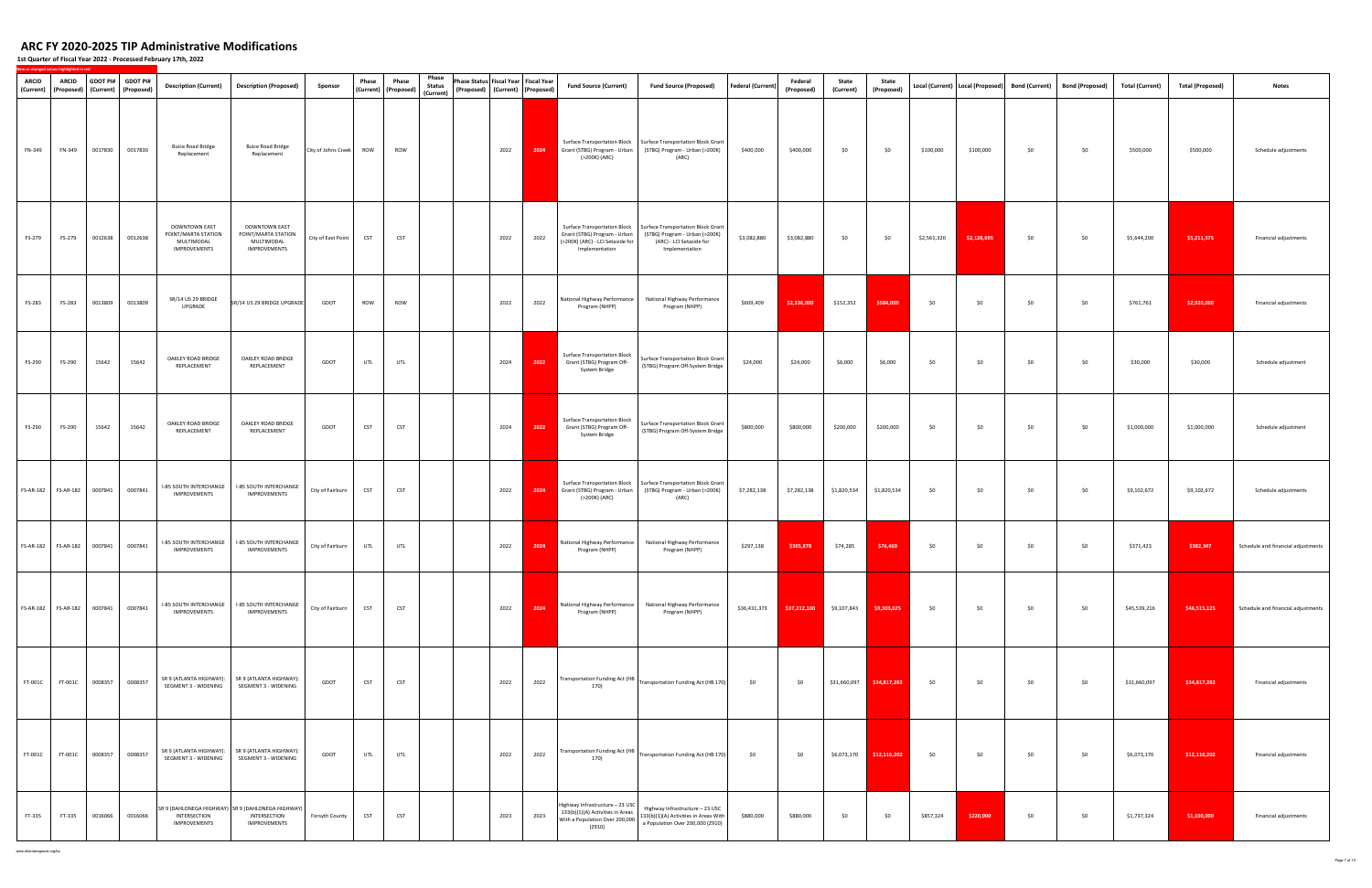**1st Quarter of Fiscal Year 2022 ‐ Processed February 17th, 2022**

| <b>ARCID</b> | <b>ARCID</b><br>(Current)   (Proposed)   (Current)   (Proposed) | <b>GDOT PI#</b> | <b>GDOT PI#</b> | <b>Description (Current)</b>                                       | <b>Description (Proposed)</b>                                                     | Sponsor             | Phase      | Phase<br>(Current) (Proposed) | Phase<br><b>Status</b> | Phase Status Fiscal Year Fiscal Year | (Proposed) (Current) (Proposed) |      | <b>Fund Source (Current)</b>                                                                                       | <b>Fund Source (Proposed)</b>                                                                                                                                           | <b>Federal (Current)</b> | Federal<br>(Proposed) | State<br>(Current)         | State<br>(Proposed)        |             | Local (Current)   Local (Proposed) | <b>Bond (Current)</b> | <b>Bond (Proposed)</b> | Total (Current) | <b>Total (Proposed)</b> | <b>Notes</b>                       |
|--------------|-----------------------------------------------------------------|-----------------|-----------------|--------------------------------------------------------------------|-----------------------------------------------------------------------------------|---------------------|------------|-------------------------------|------------------------|--------------------------------------|---------------------------------|------|--------------------------------------------------------------------------------------------------------------------|-------------------------------------------------------------------------------------------------------------------------------------------------------------------------|--------------------------|-----------------------|----------------------------|----------------------------|-------------|------------------------------------|-----------------------|------------------------|-----------------|-------------------------|------------------------------------|
| FN-349       | FN-349                                                          | 0017830         | 0017830         | <b>Buice Road Bridge</b><br>Replacement                            | <b>Buice Road Bridge</b><br>Replacement                                           | City of Johns Creek | <b>ROW</b> | <b>ROW</b>                    | (Current)              |                                      | 2022                            | 2024 | Grant (STBG) Program - Urban<br>(>200K) (ARC)                                                                      | Surface Transportation Block   Surface Transportation Block Grant<br>(STBG) Program - Urban (>200K)<br>(ARC)                                                            | \$400,000                | \$400,000             | \$0                        | \$0                        | \$100,000   | \$100,000                          | \$0                   | \$0                    | \$500,000       | \$500,000               | Schedule adjustments               |
| FS-279       | FS-279                                                          | 0012638         | 0012638         | DOWNTOWN EAST<br>POINT/MARTA STATION<br>MULTIMODAL<br>IMPROVEMENTS | DOWNTOWN EAST<br>POINT/MARTA STATION<br>MULTIMODAL<br>IMPROVEMENTS                | City of East Point  | <b>CST</b> | <b>CST</b>                    |                        |                                      | 2022                            | 2022 | Surface Transportation Block<br>Grant (STBG) Program - Urban<br>(>200K) (ARC) - LCI Setaside for<br>Implementation | Surface Transportation Block Grant<br>(STBG) Program - Urban (>200K)<br>(ARC) - LCI Setaside for<br>Implementation                                                      | \$3,082,880              | \$3,082,880           | \$0                        | \$0                        | \$2,561,320 | \$2,128,695                        | \$0                   | \$0                    | \$5,644,200     | \$5,211,575             | Financial adjustments              |
| FS-283       | FS-283                                                          | 0013809         | 0013809         | SR/14 US 29 BRIDGE<br>UPGRADE                                      | SR/14 US 29 BRIDGE UPGRADE                                                        | GDOT                | <b>ROW</b> | <b>ROW</b>                    |                        |                                      | 2022                            | 2022 | National Highway Performance<br>Program (NHPP)                                                                     | National Highway Performance<br>Program (NHPP)                                                                                                                          | \$609,409                | \$2,336,000           | \$152,352                  | \$584,000                  | \$0         | \$0                                | \$0                   | \$0                    | \$761,761       | \$2,920,000             | Financial adjustments              |
| FS-290       | FS-290                                                          | 15642           | 15642           | OAKLEY ROAD BRIDGE<br>REPLACEMENT                                  | OAKLEY ROAD BRIDGE<br>REPLACEMENT                                                 | GDOT                | UTL        | UTL                           |                        |                                      | 2024                            | 2022 | <b>Surface Transportation Block</b><br>Grant (STBG) Program Off-<br>System Bridge                                  | Surface Transportation Block Grant<br>(STBG) Program Off-System Bridge                                                                                                  | \$24,000                 | \$24,000              | \$6,000                    | \$6,000                    | \$0         | \$0                                | \$0                   | \$0                    | \$30,000        | \$30,000                | Schedule adjustment                |
| FS-290       | FS-290                                                          | 15642           | 15642           | OAKLEY ROAD BRIDGE<br>REPLACEMENT                                  | OAKLEY ROAD BRIDGE<br>REPLACEMENT                                                 | GDOT                | <b>CST</b> | <b>CST</b>                    |                        |                                      | 2024                            | 2022 | <b>Surface Transportation Block</b><br>Grant (STBG) Program Off-<br>System Bridge                                  | Surface Transportation Block Grant<br>(STBG) Program Off-System Bridge                                                                                                  | \$800,000                | \$800,000             | \$200,000                  | \$200,000                  | \$0         | \$0                                | \$0                   | \$0                    | \$1,000,000     | \$1,000,000             | Schedule adjustment                |
|              | FS-AR-182    FS-AR-182                                          | 0007841         | 0007841         | I-85 SOUTH INTERCHANGE<br><b>IMPROVEMENTS</b>                      | <b>I-85 SOUTH INTERCHANGE</b><br>IMPROVEMENTS                                     | City of Fairburn    | <b>CST</b> | <b>CST</b>                    |                        |                                      | 2022                            | 2024 | <b>Surface Transportation Block</b><br>Grant (STBG) Program - Urban<br>(>200K) (ARC)                               | Surface Transportation Block Grant<br>(STBG) Program - Urban (>200K)<br>(ARC)                                                                                           | \$7,282,138              | \$7,282,138           | \$1,820,534                | \$1,820,534                | \$0         | \$0                                | \$0                   | \$0                    | \$9,102,672     | \$9,102,672             | Schedule adjustments               |
|              |                                                                 |                 | 0007841         | IMPROVEMENTS                                                       | I-85 SOUTH INTERCHANGE   I-85 SOUTH INTERCHANGE<br><b>IMPROVEMENTS</b>            | City of Fairburn    | UTL        | UTL                           |                        |                                      | 2022                            | 2024 | National Highway Performance<br>Program (NHPP)                                                                     | National Highway Performance<br>Program (NHPP)                                                                                                                          | \$297,138                | \$305,878             | \$74,285                   | \$76,469                   | \$0         | \$0                                | \$0                   | \$0                    | \$371,423       | \$382,347               | Schedule and financial adjustments |
|              |                                                                 |                 | 0007841         | I-85 SOUTH INTERCHANGE<br><b>IMPROVEMENTS</b>                      | I-85 SOUTH INTERCHANGE<br>IMPROVEMENTS                                            | City of Fairburn    | <b>CST</b> | <b>CST</b>                    |                        |                                      | 2022                            | 2024 | Program (NHPP)                                                                                                     | National Highway Performance   National Highway Performance<br>Program (NHPP)                                                                                           | \$36,431,373             |                       | $$37,212,100$ $$9,107,843$ | \$9,303,025                | \$0         | \$0                                | \$0                   | \$0                    | \$45,539,216    | \$46,515,125            | Schedule and financial adjustments |
| FT-001C      | FT-001C                                                         | 0008357         | 0008357         | SEGMENT 3 - WIDENING                                               | SR 9 (ATLANTA HIGHWAY): SR 9 (ATLANTA HIGHWAY):<br>SEGMENT 3 - WIDENING           | GDOT                | CST        | <b>CST</b>                    |                        |                                      | 2022                            | 2022 | 170)                                                                                                               | Transportation Funding Act (HB   Transportation Funding Act (HB 170)                                                                                                    | \$0                      | \$0                   |                            |                            | \$0         | \$0                                | \$0                   | \$0                    | \$31,660,097    | \$34,817,282            | Financial adjustments              |
| FT-001C      | FT-001C                                                         | 0008357         | 0008357         | SEGMENT 3 - WIDENING                                               | SR 9 (ATLANTA HIGHWAY): SR 9 (ATLANTA HIGHWAY):<br>SEGMENT 3 - WIDENING           | GDOT                | UTL        | UTL                           |                        |                                      | 2022                            | 2022 | 170)                                                                                                               | Transportation Funding Act (HB $\vert$ Transportation Funding Act (HB 170)                                                                                              | \$0                      | \$0                   |                            | $$6,073,170$ $$12,116,202$ | \$0         | \$0                                | \$0                   | \$0                    | \$6,073,170     | \$12,116,202            | Financial adjustments              |
| FT-335       | FT-335                                                          | 0016066         | 0016066         | INTERSECTION<br>IMPROVEMENTS                                       | SR 9 (DAHLONEGA HIGHWAY) SR 9 (DAHLONEGA HIGHWAY)<br>INTERSECTION<br>IMPROVEMENTS | Forsyth County      | <b>CST</b> | <b>CST</b>                    |                        |                                      | 2023                            | 2023 | Highway Infrastructure - 23 USC<br>(Z910)                                                                          | Highway Infrastructure - 23 USC<br>With a Population Over 200,000 $\begin{vmatrix} 33( b ) ( 1 ) ( A )$ Activities in Areas With $\begin{vmatrix} 1 & -2 \end{vmatrix}$ | \$880,000                | \$880,000             | \$0                        | \$0                        | \$857,324   | \$220,000                          | \$0                   | \$0                    | \$1,737,324     | \$1,100,000             | Financial adjustments              |

www.atlantaregional.org/tip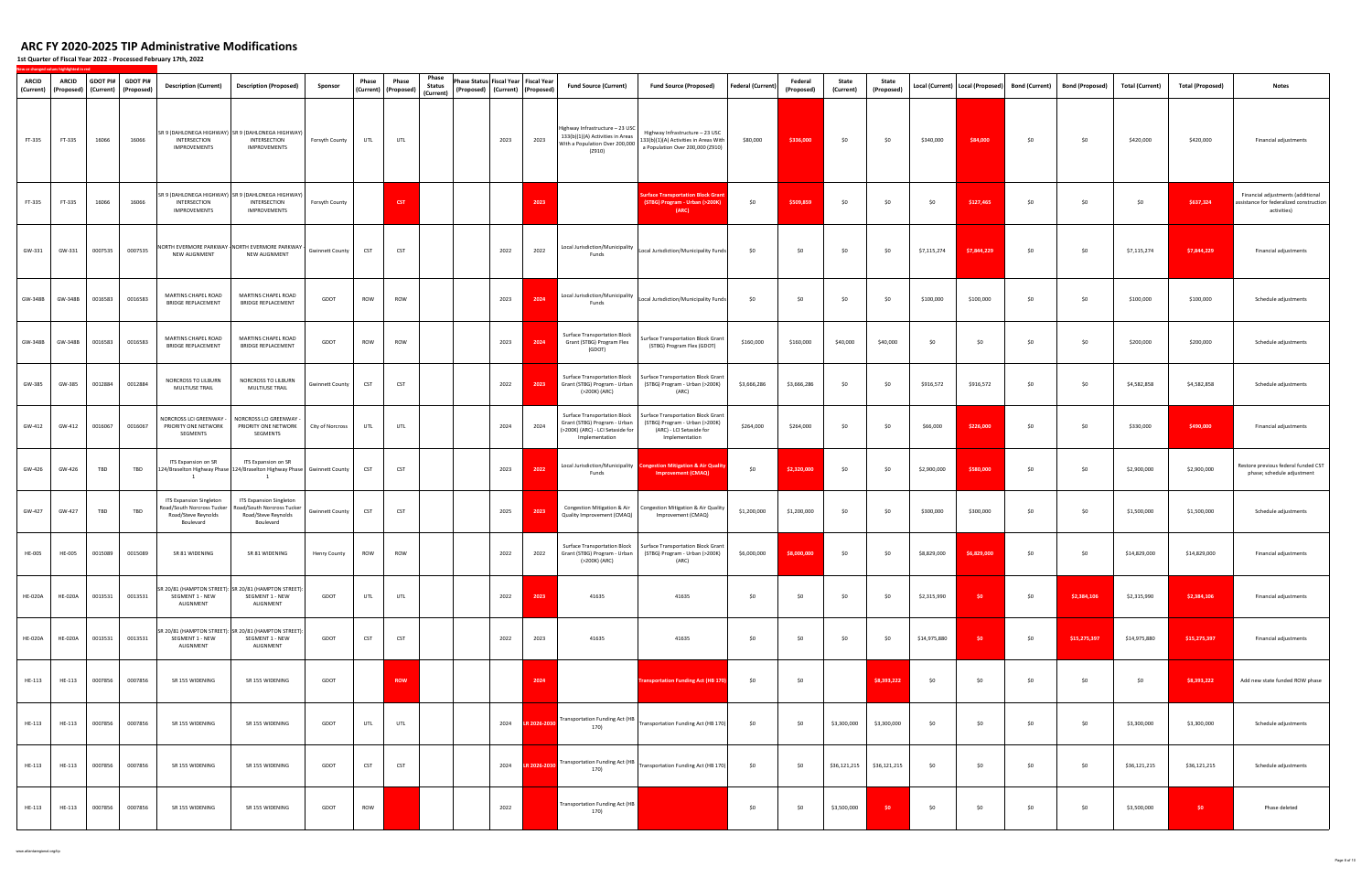| ARCID<br>(Current) | <b>ARCID</b><br>(Proposed) | (Current) | GDOT PI# GDOT PI#<br>(Proposed) | <b>Description (Current)</b>                                                             | <b>Description (Proposed)</b>                                                                                  | Sponsor                | Phase      | Phase<br>(Current) (Proposed) | Phase<br><b>Status</b><br>(Current) | Phase Status Fiscal Year Fiscal Year<br>(Proposed) (Current) (Proposed) |                   |              | <b>Fund Source (Current)</b>                                                                                       | <b>Fund Source (Proposed)</b>                                                                                             | Federal (Current) | Federal<br>(Proposed) | State<br>(Current) | State<br>(Proposed) |              | Local (Current)   Local (Proposed) | <b>Bond (Current)</b> | Bond (Proposed) | Total (Current) | <b>Total (Proposed)</b> | <b>Notes</b>                                                                                |
|--------------------|----------------------------|-----------|---------------------------------|------------------------------------------------------------------------------------------|----------------------------------------------------------------------------------------------------------------|------------------------|------------|-------------------------------|-------------------------------------|-------------------------------------------------------------------------|-------------------|--------------|--------------------------------------------------------------------------------------------------------------------|---------------------------------------------------------------------------------------------------------------------------|-------------------|-----------------------|--------------------|---------------------|--------------|------------------------------------|-----------------------|-----------------|-----------------|-------------------------|---------------------------------------------------------------------------------------------|
| FT-335             | FT-335                     | 16066     | 16066                           | INTERSECTION<br>IMPROVEMENTS                                                             | SR 9 (DAHLONEGA HIGHWAY) SR 9 (DAHLONEGA HIGHWAY)<br>INTERSECTION<br>IMPROVEMENTS                              | Forsyth County         | UTL        | UTL                           |                                     |                                                                         | 2023              | 2023         | Highway Infrastructure - 23 USC<br>133(b)(1)(A) Activities in Areas<br>With a Population Over 200,000<br>(2910)    | Highway Infrastructure - 23 USC<br>133(b)(1)(A) Activities in Areas With<br>a Population Over 200,000 (Z910)              | \$80,000          | \$336,000             | \$0                | \$0                 | \$340,000    | \$84,000                           | \$0                   | \$0             | \$420,000       | \$420,000               | Financial adjustments                                                                       |
| FT-335             | FT-335                     | 16066     | 16066                           | INTERSECTION<br>IMPROVEMENTS                                                             | SR 9 (DAHLONEGA HIGHWAY) SR 9 (DAHLONEGA HIGHWAY)<br>INTERSECTION<br>IMPROVEMENTS                              | Forsyth County         |            | <b>CST</b>                    |                                     |                                                                         |                   | 2023         |                                                                                                                    | urface Transportation Block Grant<br>(STBG) Program - Urban (>200K)<br>(ARC)                                              | \$0               | \$509,859             | \$0                | \$0                 | \$0          | \$127,465                          | \$0                   | \$0             | \$0             | \$637,324               | Financial adjustments (additional<br>assistance for federalized construction<br>activities) |
| GW-331             | GW-331                     | 0007535   | 0007535                         | NEW ALIGNMENT                                                                            | NORTH EVERMORE PARKWAY NORTH EVERMORE PARKWAY -<br>NEW ALIGNMENT                                               | Gwinnett County        | <b>CST</b> | CST                           |                                     |                                                                         | 2022              | 2022         | Local Jurisdiction/Municipality<br>Funds                                                                           | Local Jurisdiction/Municipality Funds                                                                                     | \$0               | \$0                   | \$0                | \$0                 | \$7,115,274  | \$7,844,229                        | \$0                   | \$0             | \$7,115,274     | \$7,844,229             | Financial adjustments                                                                       |
| GW-348B            | GW-348B                    | 0016583   | 0016583                         | MARTINS CHAPEL ROAD<br>BRIDGE REPLACEMENT                                                | MARTINS CHAPEL ROAD<br><b>BRIDGE REPLACEMENT</b>                                                               | GDOT                   | ROW        | ROW                           |                                     |                                                                         | 2023              | 2024         | Funds                                                                                                              | Local Jurisdiction/Municipality  Local Jurisdiction/Municipality Funds                                                    | \$0               | \$0                   | \$0                | \$0                 | \$100,000    | \$100,000                          | \$0                   | \$0             | \$100,000       | \$100,000               | Schedule adjustments                                                                        |
| GW-348B            | GW-348B                    | 0016583   | 0016583                         | MARTINS CHAPEL ROAD<br>BRIDGE REPLACEMENT                                                | MARTINS CHAPEL ROAD<br><b>BRIDGE REPLACEMENT</b>                                                               | GDOT                   | ROW        | ROW                           |                                     |                                                                         | 2023              | 2024         | <b>Surface Transportation Block</b><br>Grant (STBG) Program Flex<br>(GDOT)                                         | <b>Surface Transportation Block Grant</b><br>(STBG) Program Flex (GDOT)                                                   | \$160,000         | \$160,000             | \$40,000           | \$40,000            | \$0          | \$0                                | \$0                   | \$0             | \$200,000       | \$200,000               | Schedule adjustments                                                                        |
| GW-385             | GW-385                     | 0012884   | 0012884                         | NORCROSS TO LILBURN<br>MULTIUSE TRAIL                                                    | NORCROSS TO LILBURN<br>MULTIUSE TRAIL                                                                          | <b>Gwinnett County</b> | CST        | CST                           |                                     |                                                                         | 2022              | 2023         | Surface Transportation Block<br>Grant (STBG) Program - Urban<br>(>200K) (ARC)                                      | <b>Surface Transportation Block Grant</b><br>(STBG) Program - Urban (>200K)<br>(ARC)                                      | \$3,666,286       | \$3,666,286           | \$0                | \$0                 | \$916,572    | \$916,572                          | \$0                   | \$0             | \$4,582,858     | \$4,582,858             | Schedule adjustments                                                                        |
| GW-412             | GW-412                     | 0016067   | 0016067                         | NORCROSS LCI GREENWAY -<br>PRIORITY ONE NETWORK<br>SEGMENTS                              | NORCROSS LCI GREENWAY<br>PRIORITY ONE NETWORK<br>SEGMENTS                                                      | City of Norcross       | UTL        | UTL                           |                                     |                                                                         | 2024              | 2024         | Surface Transportation Block<br>Grant (STBG) Program - Urban<br>(>200K) (ARC) - LCI Setaside for<br>Implementation | <b>Surface Transportation Block Grant</b><br>(STBG) Program - Urban (>200K)<br>(ARC) - LCI Setaside for<br>Implementation | \$264,000         | \$264,000             | \$0                | \$0                 | \$66,000     | \$226,000                          | \$0                   | \$0             | \$330,000       | \$490,000               | Financial adjustments                                                                       |
| GW-426             | GW-426                     | TBD       | TBD                             | ITS Expansion on SR<br>$\mathbf{1}$                                                      | ITS Expansion on SR<br>124/Braselton Highway Phase 124/Braselton Highway Phase Gwinnett County<br>$\mathbf{1}$ |                        | CST        | <b>CST</b>                    |                                     |                                                                         | 2023              | 2022         | Funds                                                                                                              | Local Jurisdiction/Municipality Congestion Mitigation & Air Quality<br><b>Improvement (CMAQ)</b>                          | \$0               | \$2,320,000           | \$0                | \$0                 | \$2,900,000  | \$580,000                          | \$0                   | \$0             | \$2,900,000     | \$2,900,000             | Restore previous federal funded CST<br>phase; schedule adjustment                           |
| GW-427             | GW-427                     | TBD       | TBD                             | ITS Expansion Singleton<br>oad/South Norcross Tucker<br>Road/Steve Reynolds<br>Boulevard | <b>ITS Expansion Singleton</b><br>Road/South Norcross Tucker<br>Road/Steve Reynolds<br>Boulevard               | <b>Gwinnett County</b> | <b>CST</b> | <b>CST</b>                    |                                     |                                                                         | 2025              | 2023         | Congestion Mitigation & Air<br>Quality Improvement (CMAQ)                                                          | Congestion Mitigation & Air Quality<br>Improvement (CMAQ)                                                                 | \$1,200,000       | \$1,200,000           | \$0                | \$0                 | \$300,000    | \$300,000                          | \$0                   | \$0             | \$1,500,000     | \$1,500,000             | Schedule adjustments                                                                        |
| <b>HE-005</b>      | <b>HE-005</b>              | 0015089   | 0015089                         | SR 81 WIDENING                                                                           | SR 81 WIDENING                                                                                                 | Henry County           | ROW        | ROW                           |                                     |                                                                         | 2022              | 2022         | <b>Surface Transportation Block</b><br>Grant (STBG) Program - Urban<br>(>200K) (ARC)                               | Surface Transportation Block Grant<br>(STBG) Program - Urban (>200K)<br>(ARC)                                             | \$6,000,000       | \$8,000,000           | \$0                | \$0                 | \$8,829,000  | \$6,829,000                        | \$0                   | \$0             | \$14,829,000    | \$14,829,000            | Financial adjustments                                                                       |
| <b>HE-020A</b>     | <b>HE-020A</b>             | 0013531   | 0013531                         | SEGMENT 1 - NEW<br>ALIGNMENT                                                             | SR 20/81 (HAMPTON STREET): SR 20/81 (HAMPTON STREET):<br>SEGMENT 1 - NEW<br>ALIGNMENT                          | GDOT                   | UTL        | UTL                           |                                     |                                                                         | 2022              | 2023         | 41635                                                                                                              | 41635                                                                                                                     | \$0               | \$0                   | \$0                | \$0                 | \$2,315,990  | \$0                                | \$0                   | \$2,384,106     | \$2,315,990     | \$2,384,106             | Financial adjustments                                                                       |
| <b>HE-020A</b>     | <b>HE-020A</b>             | 0013531   | 0013531                         | SEGMENT 1 - NEW<br>ALIGNMENT                                                             | SR 20/81 (HAMPTON STREET): SR 20/81 (HAMPTON STREET):<br>SEGMENT 1 - NEW<br>ALIGNMENT                          | GDOT                   | CST        | CST                           |                                     |                                                                         | 2022              | 2023         | 41635                                                                                                              | 41635                                                                                                                     | \$0               | \$0                   | \$0                | \$0                 | \$14,975,880 | \$0                                | \$0                   | \$15,275,397    | \$14,975,880    | \$15,275,397            | Financial adjustments                                                                       |
| HE-113             | HE-113                     | 0007856   | 0007856                         | SR 155 WIDENING                                                                          | SR 155 WIDENING                                                                                                | GDOT                   |            | <b>ROW</b>                    |                                     |                                                                         |                   | 2024         |                                                                                                                    | <b>Transportation Funding Act (HB 170</b>                                                                                 | \$0               | \$0                   |                    | \$8,393,222         | \$0          | \$0                                | \$0                   | \$0             | \$0             | \$8,393,222             | Add new state funded ROW phase                                                              |
| HE-113             | HE-113                     | 0007856   | 0007856                         | SR 155 WIDENING                                                                          | SR 155 WIDENING                                                                                                | GDOT                   | UTL        | UTL                           |                                     |                                                                         | 2024              | LR 2026-2030 | 170)                                                                                                               | Transportation Funding Act (HB   Transportation Funding Act (HB 170)                                                      | \$0               | \$0                   | \$3,300,000        | \$3,300,000         | \$0          | \$0                                | \$0                   | \$0             | \$3,300,000     | \$3,300,000             | Schedule adjustments                                                                        |
| HE-113             | HE-113                     | 0007856   | 0007856                         | SR 155 WIDENING                                                                          | SR 155 WIDENING                                                                                                | GDOT                   | <b>CST</b> | <b>CST</b>                    |                                     |                                                                         | 2024 LR 2026-2030 |              | Transportation Funding Act (HB  <br>170)                                                                           | Transportation Funding Act (HB 170)                                                                                       | \$0               | \$0                   | \$36,121,215       | \$36,121,215        | \$0          | \$0                                | \$0                   | \$0             | \$36,121,215    | \$36,121,215            | Schedule adjustments                                                                        |
| HE-113             | HE-113                     | 0007856   | 0007856                         | SR 155 WIDENING                                                                          | SR 155 WIDENING                                                                                                | GDOT                   | ROW        |                               |                                     |                                                                         | 2022              |              | Transportation Funding Act (HB<br>170)                                                                             |                                                                                                                           | \$0               | \$0                   | \$3,500,000        | \$0                 | \$0          | \$0                                | \$0                   | \$0             | \$3,500,000     | \$0                     | Phase deleted                                                                               |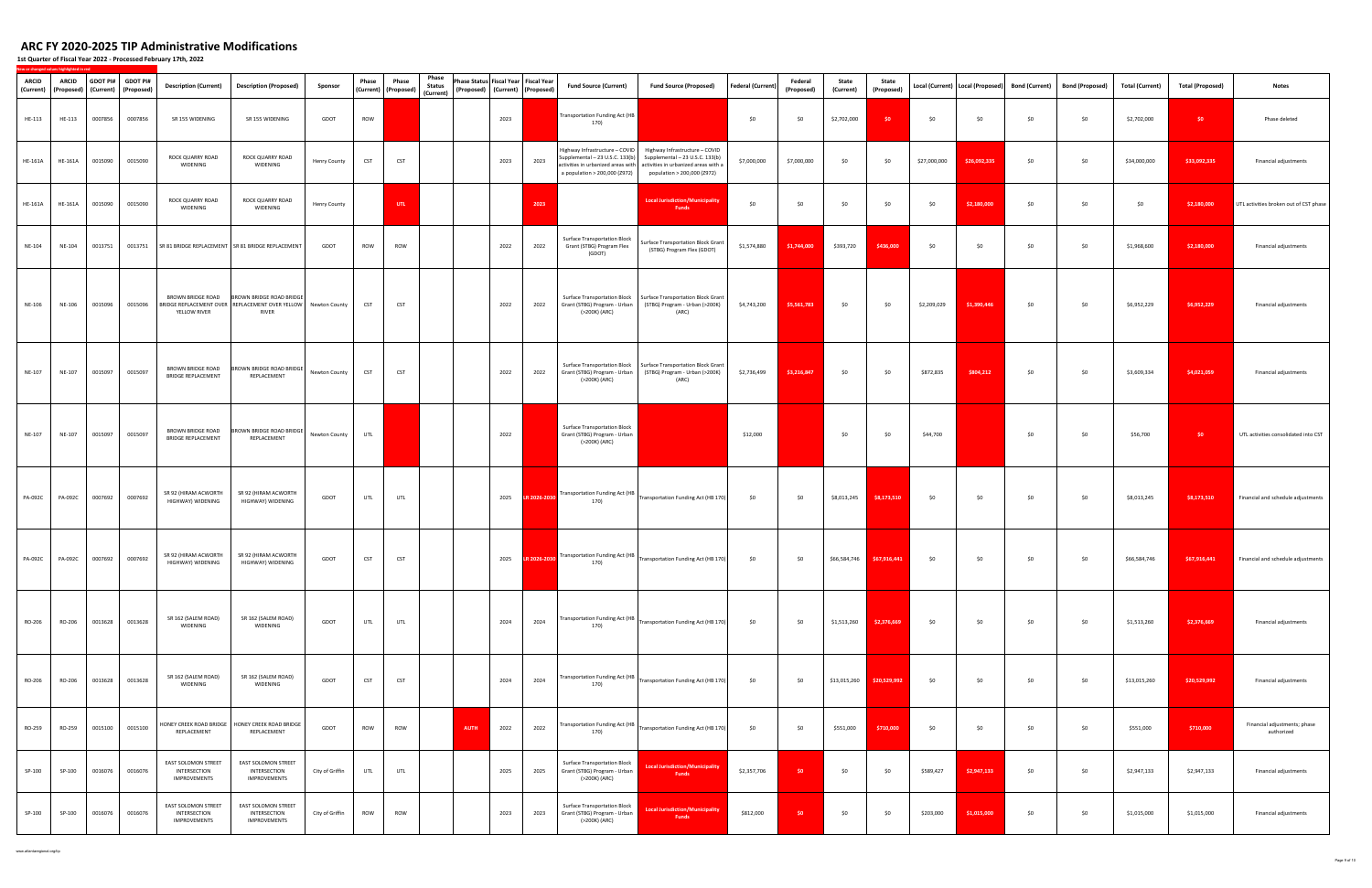**1st Quarter of Fiscal Year 2022 ‐ Processed February 17th, 2022**

| <b>ARCID</b><br>(Current) | <b>ARCID</b>   |         | GDOT PI# GDOT PI#<br>(Proposed) (Current) (Proposed) | <b>Description (Current)</b>                        | <b>Description (Proposed)</b>                                                                          | Sponsor             | Phase      | Phase<br>(Current) (Proposed) | Phase<br><b>Status</b><br>(Current) | Phase Status Fiscal Year Fiscal Year | (Proposed) (Current) (Proposed) |              | <b>Fund Source (Current)</b>                                                                       | <b>Fund Source (Proposed)</b>                                                                                                                                               | <b>Federal (Current)</b> | Federal<br>(Proposed) | State<br>(Current) | State<br>(Proposed)       |              | Local (Current) Local (Proposed) | <b>Bond (Current)</b> | <b>Bond (Proposed)</b> | <b>Total (Current)</b> | <b>Total (Proposed)</b> | <b>Notes</b>                               |
|---------------------------|----------------|---------|------------------------------------------------------|-----------------------------------------------------|--------------------------------------------------------------------------------------------------------|---------------------|------------|-------------------------------|-------------------------------------|--------------------------------------|---------------------------------|--------------|----------------------------------------------------------------------------------------------------|-----------------------------------------------------------------------------------------------------------------------------------------------------------------------------|--------------------------|-----------------------|--------------------|---------------------------|--------------|----------------------------------|-----------------------|------------------------|------------------------|-------------------------|--------------------------------------------|
| HE-113                    | HE-113         | 0007856 | 0007856                                              | SR 155 WIDENING                                     | SR 155 WIDENING                                                                                        | GDOT                | ROW        |                               |                                     |                                      | 2023                            |              | Transportation Funding Act (HB<br>170)                                                             |                                                                                                                                                                             | \$0                      | \$0                   | \$2,702,000        | \$0                       | \$0          | \$0                              | \$0                   | \$0                    | \$2,702,000            | \$0                     | Phase deleted                              |
| HE-161A                   | HE-161A        | 0015090 | 0015090                                              | ROCK QUARRY ROAD<br>WIDENING                        | ROCK QUARRY ROAD<br>WIDENING                                                                           | <b>Henry County</b> | <b>CST</b> | <b>CST</b>                    |                                     |                                      | 2023                            | 2023         | Highway Infrastructure - COVID<br>Supplemental - 23 U.S.C. 133(b)<br>a population > 200,000 (Z972) | Highway Infrastructure - COVID<br>Supplemental - 23 U.S.C. 133(b)<br>activities in urbanized areas with activities in urbanized areas with a<br>population > 200,000 (Z972) | \$7,000,000              | \$7,000,000           | \$0                | \$0                       | \$27,000,000 | \$26,092,335                     | \$0                   | \$0                    | \$34,000,000           | \$33,092,335            | Financial adjustments                      |
| <b>HE-161A</b>            | <b>HE-161A</b> | 0015090 | 0015090                                              | ROCK QUARRY ROAD<br>WIDENING                        | ROCK QUARRY ROAD<br>WIDENING                                                                           | <b>Henry County</b> |            | UTL                           |                                     |                                      |                                 | 2023         |                                                                                                    | <b>Local Jurisdiction/Municipality</b><br><b>Funds</b>                                                                                                                      | \$0                      | \$0                   | \$0                | \$0                       | \$0          | \$2,180,000                      | \$0                   | \$0                    | \$0                    | \$2,180,000             | UTL activities broken out of CST phase     |
| NE-104                    | NE-104         | 0013751 | 0013751                                              |                                                     | SR 81 BRIDGE REPLACEMENT SR 81 BRIDGE REPLACEMENT                                                      | GDOT                | ROW        | ROW                           |                                     |                                      | 2022                            | 2022         | <b>Surface Transportation Block</b><br>Grant (STBG) Program Flex<br>(GDOT)                         | Surface Transportation Block Grant<br>(STBG) Program Flex (GDOT)                                                                                                            | \$1,574,880              | \$1,744,000           | \$393,720          | \$436,000                 | \$0          | \$0                              | \$0                   | \$0                    | \$1,968,600            | \$2,180,000             | Financial adjustments                      |
| NE-106                    | NE-106         | 0015096 | 0015096                                              | BROWN BRIDGE ROAD<br>YELLOW RIVER                   | BROWN BRIDGE ROAD BRIDGE<br>BRIDGE REPLACEMENT OVER   REPLACEMENT OVER YELLOW   Newton County<br>RIVER |                     | <b>CST</b> | <b>CST</b>                    |                                     |                                      | 2022                            | 2022         | <b>Surface Transportation Block</b><br>Grant (STBG) Program - Urban<br>(>200K) (ARC)               | <b>Surface Transportation Block Grant</b><br>(STBG) Program - Urban (>200K)<br>(ARC)                                                                                        | \$4,743,200              | \$5,561,783           | \$0                | \$0                       | \$2,209,029  | \$1,390,446                      | \$0                   | \$0                    | \$6,952,229            | \$6,952,229             | Financial adjustments                      |
| NE-107                    | NE-107         | 0015097 | 0015097                                              | BROWN BRIDGE ROAD<br><b>BRIDGE REPLACEMENT</b>      | BROWN BRIDGE ROAD BRIDGE<br>REPLACEMENT                                                                | Newton County       | <b>CST</b> | <b>CST</b>                    |                                     |                                      | 2022                            | 2022         | <b>Surface Transportation Block</b><br>Grant (STBG) Program - Urban<br>(>200K) (ARC)               | <b>Surface Transportation Block Grant</b><br>(STBG) Program - Urban (>200K)<br>(ARC)                                                                                        | \$2,736,499              | \$3,216,847           | \$0                | \$0                       | \$872,835    | \$804,212                        | \$0                   | \$0                    | \$3,609,334            | \$4,021,059             | Financial adjustments                      |
| NE-107                    | NE-107         | 0015097 | 0015097                                              | BROWN BRIDGE ROAD<br><b>BRIDGE REPLACEMENT</b>      | BROWN BRIDGE ROAD BRIDGE<br>REPLACEMENT                                                                | Newton County       | UTL        |                               |                                     |                                      | 2022                            |              | <b>Surface Transportation Block</b><br>Grant (STBG) Program - Urban<br>(>200K) (ARC)               |                                                                                                                                                                             | \$12,000                 |                       | \$0                | \$0                       | \$44,700     |                                  | \$0                   | \$0                    | \$56,700               | \$0                     | UTL activities consolidated into CST       |
| PA-092C                   | PA-092C        | 0007692 | 0007692                                              | SR 92 (HIRAM ACWORTH<br>HIGHWAY) WIDENING           | SR 92 (HIRAM ACWORTH<br>HIGHWAY) WIDENING                                                              | GDOT                | UTL        | UTL                           |                                     |                                      | 2025                            | LR 2026-2030 | Transportation Funding Act (HB<br>170)                                                             | Transportation Funding Act (HB 170)                                                                                                                                         | \$0                      | \$0                   | \$8,013,245        | \$8,173,510               | \$0          | \$0                              | \$0                   | \$0                    | \$8,013,245            | \$8,173,510             | Financial and schedule adjustments         |
| PA-092C                   | <b>PA-092C</b> | 0007692 | 0007692                                              | SR 92 (HIRAM ACWORTH<br>HIGHWAY) WIDENING           | SR 92 (HIRAM ACWORTH<br>HIGHWAY) WIDENING                                                              | GDOT                | <b>CST</b> | <b>CST</b>                    |                                     |                                      |                                 |              | 170)                                                                                               | 2025 R 2026-2030 Transportation Funding Act (HB Transportation Funding Act (HB 170)                                                                                         | \$0                      | \$0                   |                    | \$66,584,746 \$67,916,441 | \$0          | \$0                              | \$0                   | \$0                    | \$66,584,746           | \$67,916,441            | Financial and schedule adjustments         |
| RO-206                    | RO-206         | 0013628 | 0013628                                              | SR 162 (SALEM ROAD)<br>WIDENING                     | SR 162 (SALEM ROAD)<br>WIDENING                                                                        | GDOT                | UTL        | UTL                           |                                     |                                      | 2024                            | 2024         | 170)                                                                                               | Transportation Funding Act (HB   Transportation Funding Act (HB 170)                                                                                                        | \$0                      | \$0                   | \$1,513,260        | \$2,376,669               | \$0          | \$0                              | \$0                   | \$0                    | \$1,513,260            | \$2,376,669             | Financial adjustments                      |
| RO-206                    | RO-206         | 0013628 | 0013628                                              | SR 162 (SALEM ROAD)<br>WIDENING                     | SR 162 (SALEM ROAD)<br>WIDENING                                                                        | GDOT                | CST        | <b>CST</b>                    |                                     |                                      | 2024                            | 2024         | Transportation Funding Act (HB<br>170)                                                             | Transportation Funding Act (HB 170)                                                                                                                                         | \$0                      | \$0                   | \$13,015,260       | \$20,529,992              | \$0          | \$0                              | \$0                   | \$0                    | \$13,015,260           | \$20,529,992            | Financial adjustments                      |
| RO-259                    | RO-259         | 0015100 | 0015100                                              | HONEY CREEK ROAD BRIDGE<br>REPLACEMENT              | HONEY CREEK ROAD BRIDGE<br>REPLACEMENT                                                                 | GDOT                | ROW        | <b>ROW</b>                    |                                     | <b>AUTH</b>                          | 2022                            | 2022         | <b>Transportation Funding Act (HB</b><br>170)                                                      | Transportation Funding Act (HB 170)                                                                                                                                         | \$0                      | \$0                   | \$551,000          | \$710,000                 | \$0          | \$0                              | \$0                   | \$0                    | \$551,000              | \$710,000               | Financial adjustments; phase<br>authorized |
| SP-100                    | SP-100         | 0016076 | 0016076                                              | EAST SOLOMON STREET<br>INTERSECTION<br>IMPROVEMENTS | <b>EAST SOLOMON STREET</b><br>INTERSECTION<br>IMPROVEMENTS                                             | City of Griffin     | UTL        | UTL                           |                                     |                                      | 2025                            | 2025         | <b>Surface Transportation Block</b><br>Grant (STBG) Program - Urban<br>(>200K) (ARC)               | <b>Local Jurisdiction/Municipality</b><br><b>Funds</b>                                                                                                                      | \$2,357,706              | \$0                   | \$0                | \$0                       | \$589,427    | \$2,947,133                      | \$0                   | \$0                    | \$2,947,133            | \$2,947,133             | Financial adjustments                      |
| SP-100                    | SP-100         | 0016076 | 0016076                                              | EAST SOLOMON STREET<br>INTERSECTION<br>IMPROVEMENTS | EAST SOLOMON STREET<br>INTERSECTION<br>IMPROVEMENTS                                                    | City of Griffin     | ROW        | ROW                           |                                     |                                      | 2023                            | 2023         | <b>Surface Transportation Block</b><br>Grant (STBG) Program - Urban<br>(>200K) (ARC)               | Local Jurisdiction/Municipality<br><b>Funds</b>                                                                                                                             | \$812,000                | \$0                   | \$0                | \$0                       | \$203,000    | \$1,015,000                      | \$0                   | \$0                    | \$1,015,000            | \$1,015,000             | Financial adjustments                      |

www.atlantaregional.org/tip